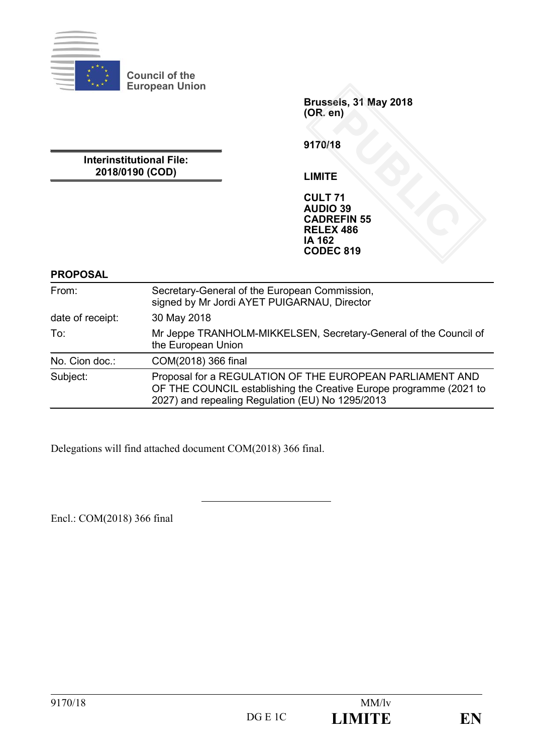

**Council of the European Union**

> **Brussels, 31 May 2018 (OR. en)**

**9170/18**

**LIMITE**

**CULT 71 AUDIO 39 CADREFIN 55 RELEX 486 IA 162 CODEC 819** PUBLIC<br> **PUBLIC**<br> **PUBLIC**<br> **PUBLIC**<br> **PUBLIC**<br> **PUBLIC**<br> **PUBLIC**<br> **PUBLIC**<br> **PUBLIC**<br> **PUBLIC** 

**Interinstitutional File: 2018/0190 (COD)**

## **PROPOSAL**

| From:            | Secretary-General of the European Commission,<br>signed by Mr Jordi AYET PUIGARNAU, Director                                                                                       |
|------------------|------------------------------------------------------------------------------------------------------------------------------------------------------------------------------------|
| date of receipt: | 30 May 2018                                                                                                                                                                        |
| To:              | Mr Jeppe TRANHOLM-MIKKELSEN, Secretary-General of the Council of<br>the European Union                                                                                             |
| No. Cion doc.:   | COM(2018) 366 final                                                                                                                                                                |
| Subject:         | Proposal for a REGULATION OF THE EUROPEAN PARLIAMENT AND<br>OF THE COUNCIL establishing the Creative Europe programme (2021 to<br>2027) and repealing Regulation (EU) No 1295/2013 |

Delegations will find attached document COM(2018) 366 final.

Encl.: COM(2018) 366 final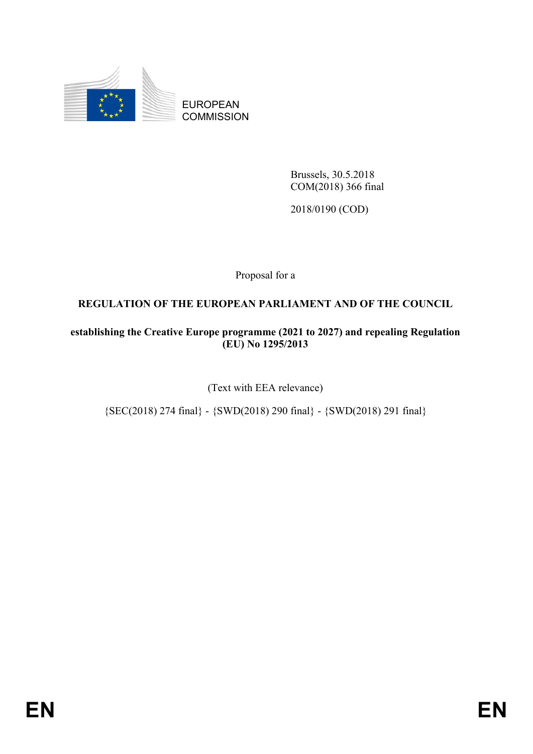

EUROPEAN **COMMISSION** 

> Brussels, 30.5.2018 COM(2018) 366 final

2018/0190 (COD)

Proposal for a

# **REGULATION OF THE EUROPEAN PARLIAMENT AND OF THE COUNCIL**

**establishing the Creative Europe programme (2021 to 2027) and repealing Regulation (EU) No 1295/2013**

(Text with EEA relevance)

{SEC(2018) 274 final} - {SWD(2018) 290 final} - {SWD(2018) 291 final}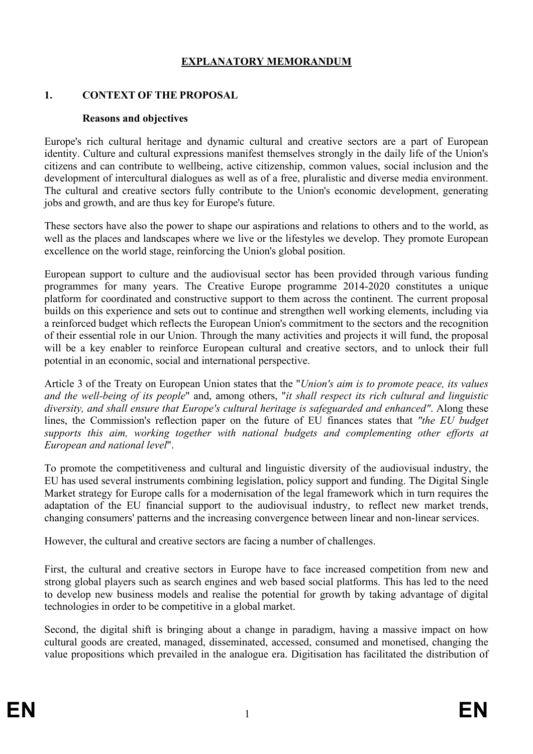## **EXPLANATORY MEMORANDUM**

# **1. CONTEXT OF THE PROPOSAL**

## **Reasons and objectives**

Europe's rich cultural heritage and dynamic cultural and creative sectors are a part of European identity. Culture and cultural expressions manifest themselves strongly in the daily life of the Union's citizens and can contribute to wellbeing, active citizenship, common values, social inclusion and the development of intercultural dialogues as well as of a free, pluralistic and diverse media environment. The cultural and creative sectors fully contribute to the Union's economic development, generating jobs and growth, and are thus key for Europe's future.

These sectors have also the power to shape our aspirations and relations to others and to the world, as well as the places and landscapes where we live or the lifestyles we develop. They promote European excellence on the world stage, reinforcing the Union's global position.

European support to culture and the audiovisual sector has been provided through various funding programmes for many years. The Creative Europe programme 2014-2020 constitutes a unique platform for coordinated and constructive support to them across the continent. The current proposal builds on this experience and sets out to continue and strengthen well working elements, including via a reinforced budget which reflects the European Union's commitment to the sectors and the recognition of their essential role in our Union. Through the many activities and projects it will fund, the proposal will be a key enabler to reinforce European cultural and creative sectors, and to unlock their full potential in an economic, social and international perspective.

Article 3 of the Treaty on European Union states that the "*Union's aim is to promote peace, its values and the well-being of its people*" and, among others, "*it shall respect its rich cultural and linguistic diversity, and shall ensure that Europe's cultural heritage is safeguarded and enhanced"*. Along these lines, the Commission's reflection paper on the future of EU finances states that *"the EU budget supports this aim, working together with national budgets and complementing other efforts at European and national level*".

To promote the competitiveness and cultural and linguistic diversity of the audiovisual industry, the EU has used several instruments combining legislation, policy support and funding. The Digital Single Market strategy for Europe calls for a modernisation of the legal framework which in turn requires the adaptation of the EU financial support to the audiovisual industry, to reflect new market trends, changing consumers' patterns and the increasing convergence between linear and non-linear services.

However, the cultural and creative sectors are facing a number of challenges.

First, the cultural and creative sectors in Europe have to face increased competition from new and strong global players such as search engines and web based social platforms. This has led to the need to develop new business models and realise the potential for growth by taking advantage of digital technologies in order to be competitive in a global market.

Second, the digital shift is bringing about a change in paradigm, having a massive impact on how cultural goods are created, managed, disseminated, accessed, consumed and monetised, changing the value propositions which prevailed in the analogue era. Digitisation has facilitated the distribution of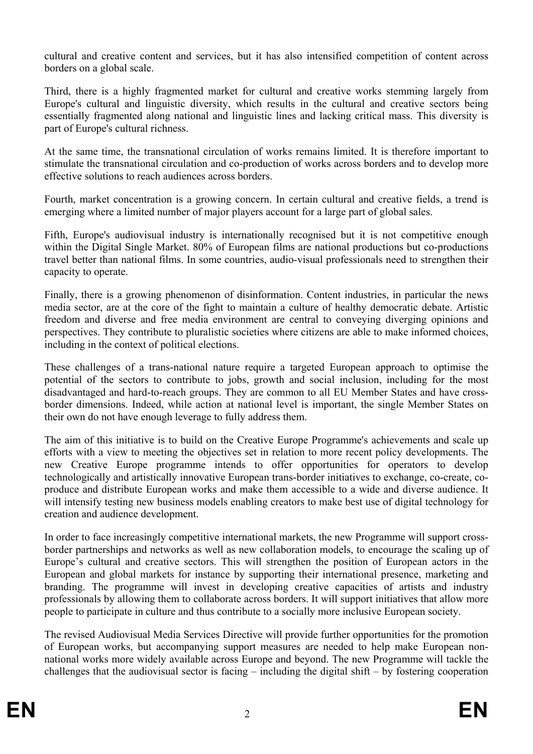cultural and creative content and services, but it has also intensified competition of content across borders on a global scale.

Third, there is a highly fragmented market for cultural and creative works stemming largely from Europe's cultural and linguistic diversity, which results in the cultural and creative sectors being essentially fragmented along national and linguistic lines and lacking critical mass. This diversity is part of Europe's cultural richness.

At the same time, the transnational circulation of works remains limited. It is therefore important to stimulate the transnational circulation and co-production of works across borders and to develop more effective solutions to reach audiences across borders.

Fourth, market concentration is a growing concern. In certain cultural and creative fields, a trend is emerging where a limited number of major players account for a large part of global sales.

Fifth, Europe's audiovisual industry is internationally recognised but it is not competitive enough within the Digital Single Market. 80% of European films are national productions but co-productions travel better than national films. In some countries, audio-visual professionals need to strengthen their capacity to operate.

Finally, there is a growing phenomenon of disinformation. Content industries, in particular the news media sector, are at the core of the fight to maintain a culture of healthy democratic debate. Artistic freedom and diverse and free media environment are central to conveying diverging opinions and perspectives. They contribute to pluralistic societies where citizens are able to make informed choices, including in the context of political elections.

These challenges of a trans-national nature require a targeted European approach to optimise the potential of the sectors to contribute to jobs, growth and social inclusion, including for the most disadvantaged and hard-to-reach groups. They are common to all EU Member States and have crossborder dimensions. Indeed, while action at national level is important, the single Member States on their own do not have enough leverage to fully address them.

The aim of this initiative is to build on the Creative Europe Programme's achievements and scale up efforts with a view to meeting the objectives set in relation to more recent policy developments. The new Creative Europe programme intends to offer opportunities for operators to develop technologically and artistically innovative European trans-border initiatives to exchange, co-create, coproduce and distribute European works and make them accessible to a wide and diverse audience. It will intensify testing new business models enabling creators to make best use of digital technology for creation and audience development.

In order to face increasingly competitive international markets, the new Programme will support crossborder partnerships and networks as well as new collaboration models, to encourage the scaling up of Europe's cultural and creative sectors. This will strengthen the position of European actors in the European and global markets for instance by supporting their international presence, marketing and branding. The programme will invest in developing creative capacities of artists and industry professionals by allowing them to collaborate across borders. It will support initiatives that allow more people to participate in culture and thus contribute to a socially more inclusive European society.

The revised Audiovisual Media Services Directive will provide further opportunities for the promotion of European works, but accompanying support measures are needed to help make European nonnational works more widely available across Europe and beyond. The new Programme will tackle the challenges that the audiovisual sector is facing – including the digital shift – by fostering cooperation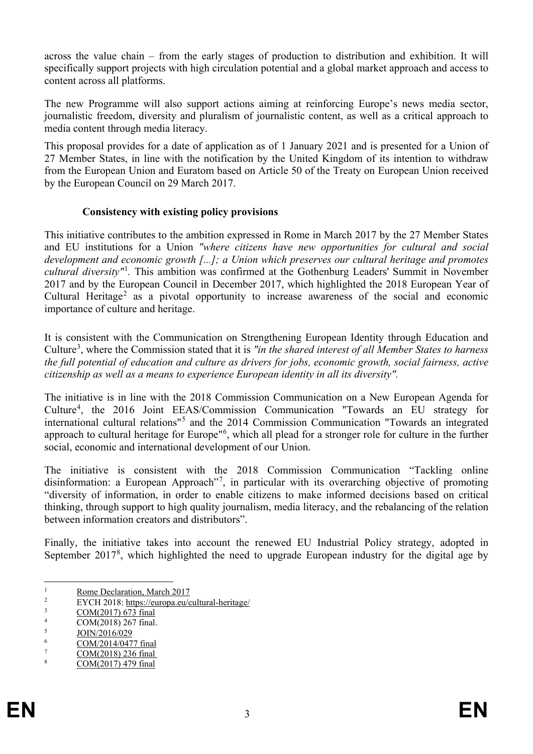across the value chain – from the early stages of production to distribution and exhibition. It will specifically support projects with high circulation potential and a global market approach and access to content across all platforms.

The new Programme will also support actions aiming at reinforcing Europe's news media sector, journalistic freedom, diversity and pluralism of journalistic content, as well as a critical approach to media content through media literacy.

This proposal provides for a date of application as of 1 January 2021 and is presented for a Union of 27 Member States, in line with the notification by the United Kingdom of its intention to withdraw from the European Union and Euratom based on Article 50 of the Treaty on European Union received by the European Council on 29 March 2017.

## **Consistency with existing policy provisions**

This initiative contributes to the ambition expressed in Rome in March 2017 by the 27 Member States and EU institutions for a Union *"where citizens have new opportunities for cultural and social development and economic growth [...]; a Union which preserves our cultural heritage and promotes cultural diversity"*[1](#page-4-0) *.* This ambition was confirmed at the Gothenburg Leaders' Summit in November 2017 and by the European Council in December 2017, which highlighted the 2018 European Year of Cultural Heritage<sup>[2](#page-4-1)</sup> as a pivotal opportunity to increase awareness of the social and economic importance of culture and heritage.

It is consistent with the Communication on Strengthening European Identity through Education and Culture<sup>[3](#page-4-2)</sup>, where the Commission stated that it is "in the shared interest of all Member States to harness *the full potential of education and culture as drivers for jobs, economic growth, social fairness, active citizenship as well as a means to experience European identity in all its diversity".*

The initiative is in line with the 2018 Commission Communication on a New European Agenda for Culture[4](#page-4-3) , the 2016 Joint EEAS/Commission Communication "Towards an EU strategy for international cultural relations"[5](#page-4-4) and the 2014 Commission Communication "Towards an integrated approach to cultural heritage for Europe"<sup>[6](#page-4-5)</sup>, which all plead for a stronger role for culture in the further social, economic and international development of our Union.

The initiative is consistent with the 2018 Commission Communication "Tackling online disinformation: a European Approach"<sup>[7](#page-4-6)</sup>, in particular with its overarching objective of promoting "diversity of information, in order to enable citizens to make informed decisions based on critical thinking, through support to high quality journalism, media literacy, and the rebalancing of the relation between information creators and distributors".

Finally, the initiative takes into account the renewed EU Industrial Policy strategy, adopted in September 2017<sup>[8](#page-4-7)</sup>, which highlighted the need to upgrade European industry for the digital age by

- <span id="page-4-0"></span> $\frac{1}{2}$  [Rome Declaration, March 2017](http://www.consilium.europa.eu/en/press/press-releases/2017/03/25/rome-declaration/)
- <span id="page-4-1"></span><sup>2</sup> EYCH 2018[: https://europa.eu/cultural-heritage/](https://europa.eu/cultural-heritage/)<br> $\frac{3}{2}$  COM(2017) 673 final
- <span id="page-4-2"></span> $\frac{3}{4}$  [COM\(2017\) 673 final](http://eur-lex.europa.eu/legal-content/EN/TXT/?uri=COM%3A2017%3A673%3AFIN)
- <span id="page-4-3"></span> $^{4}$  COM(2018) 267 final.
- <span id="page-4-4"></span> $\frac{5}{6}$  [JOIN/2016/029](http://eur-lex.europa.eu/legal-content/EN/TXT/?uri=JOIN%3A2016%3A29%3AFIN)
- <span id="page-4-5"></span> $\frac{6}{7}$  [COM/2014/0477 final](https://eur-lex.europa.eu/legal-content/EN/TXT/?uri=CELEX:52014DC0477)
- <span id="page-4-6"></span> $\frac{7}{8}$  [COM\(2018\) 236 final](https://eur-lex.europa.eu/legal-content/EN/TXT/?qid=1526930757252&uri=CELEX:52018DC0236)

<span id="page-4-7"></span>[COM\(2017\) 479 final](http://eur-lex.europa.eu/legal-content/EN/TXT/?uri=COM:2017:479:FIN)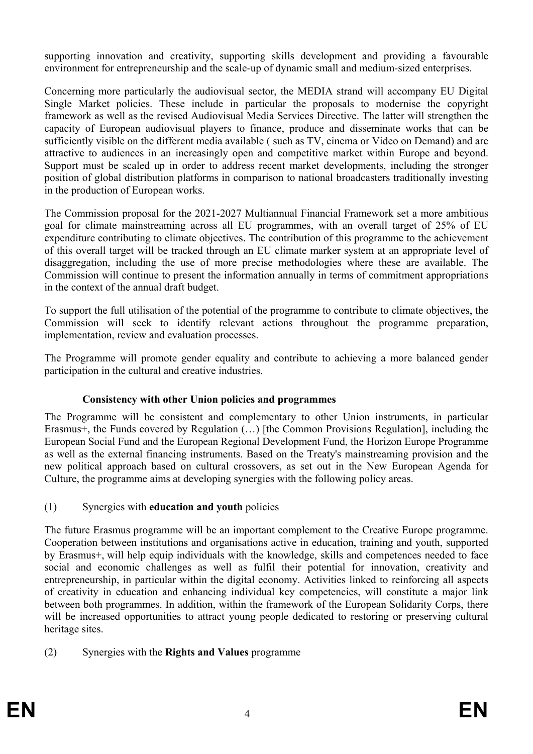supporting innovation and creativity, supporting skills development and providing a favourable environment for entrepreneurship and the scale-up of dynamic small and medium-sized enterprises.

Concerning more particularly the audiovisual sector, the MEDIA strand will accompany EU Digital Single Market policies. These include in particular the proposals to modernise the copyright framework as well as the revised Audiovisual Media Services Directive. The latter will strengthen the capacity of European audiovisual players to finance, produce and disseminate works that can be sufficiently visible on the different media available ( such as TV, cinema or Video on Demand) and are attractive to audiences in an increasingly open and competitive market within Europe and beyond. Support must be scaled up in order to address recent market developments, including the stronger position of global distribution platforms in comparison to national broadcasters traditionally investing in the production of European works.

The Commission proposal for the 2021-2027 Multiannual Financial Framework set a more ambitious goal for climate mainstreaming across all EU programmes, with an overall target of 25% of EU expenditure contributing to climate objectives. The contribution of this programme to the achievement of this overall target will be tracked through an EU climate marker system at an appropriate level of disaggregation, including the use of more precise methodologies where these are available. The Commission will continue to present the information annually in terms of commitment appropriations in the context of the annual draft budget.

To support the full utilisation of the potential of the programme to contribute to climate objectives, the Commission will seek to identify relevant actions throughout the programme preparation, implementation, review and evaluation processes.

The Programme will promote gender equality and contribute to achieving a more balanced gender participation in the cultural and creative industries.

# **Consistency with other Union policies and programmes**

The Programme will be consistent and complementary to other Union instruments, in particular Erasmus+, the Funds covered by Regulation (…) [the Common Provisions Regulation], including the European Social Fund and the European Regional Development Fund, the Horizon Europe Programme as well as the external financing instruments. Based on the Treaty's mainstreaming provision and the new political approach based on cultural crossovers, as set out in the New European Agenda for Culture, the programme aims at developing synergies with the following policy areas.

# (1) Synergies with **education and youth** policies

The future Erasmus programme will be an important complement to the Creative Europe programme. Cooperation between institutions and organisations active in education, training and youth, supported by Erasmus+, will help equip individuals with the knowledge, skills and competences needed to face social and economic challenges as well as fulfil their potential for innovation, creativity and entrepreneurship, in particular within the digital economy. Activities linked to reinforcing all aspects of creativity in education and enhancing individual key competencies, will constitute a major link between both programmes. In addition, within the framework of the European Solidarity Corps, there will be increased opportunities to attract young people dedicated to restoring or preserving cultural heritage sites.

# (2) Synergies with the **Rights and Values** programme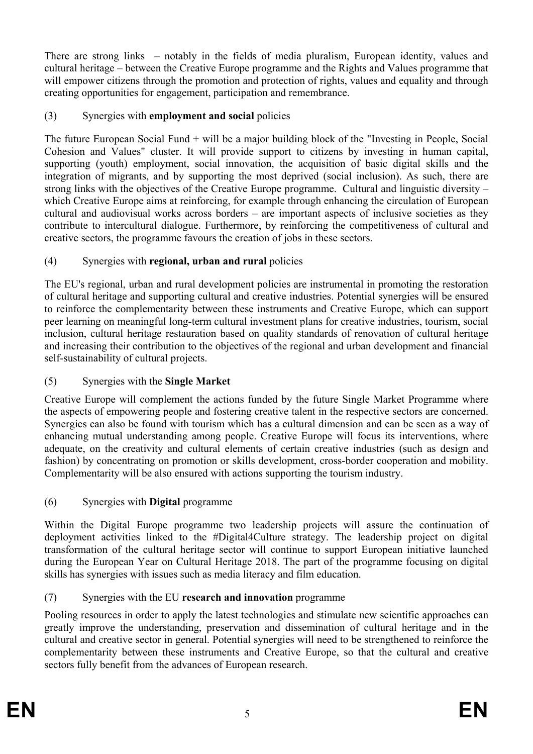There are strong links – notably in the fields of media pluralism, European identity, values and cultural heritage – between the Creative Europe programme and the Rights and Values programme that will empower citizens through the promotion and protection of rights, values and equality and through creating opportunities for engagement, participation and remembrance.

# (3) Synergies with **employment and social** policies

The future European Social Fund + will be a major building block of the "Investing in People, Social Cohesion and Values" cluster. It will provide support to citizens by investing in human capital, supporting (youth) employment, social innovation, the acquisition of basic digital skills and the integration of migrants, and by supporting the most deprived (social inclusion). As such, there are strong links with the objectives of the Creative Europe programme. Cultural and linguistic diversity – which Creative Europe aims at reinforcing, for example through enhancing the circulation of European cultural and audiovisual works across borders – are important aspects of inclusive societies as they contribute to intercultural dialogue. Furthermore, by reinforcing the competitiveness of cultural and creative sectors, the programme favours the creation of jobs in these sectors.

# (4) Synergies with **regional, urban and rural** policies

The EU's regional, urban and rural development policies are instrumental in promoting the restoration of cultural heritage and supporting cultural and creative industries. Potential synergies will be ensured to reinforce the complementarity between these instruments and Creative Europe, which can support peer learning on meaningful long-term cultural investment plans for creative industries, tourism, social inclusion, cultural heritage restauration based on quality standards of renovation of cultural heritage and increasing their contribution to the objectives of the regional and urban development and financial self-sustainability of cultural projects.

# (5) Synergies with the **Single Market**

Creative Europe will complement the actions funded by the future Single Market Programme where the aspects of empowering people and fostering creative talent in the respective sectors are concerned. Synergies can also be found with tourism which has a cultural dimension and can be seen as a way of enhancing mutual understanding among people. Creative Europe will focus its interventions, where adequate, on the creativity and cultural elements of certain creative industries (such as design and fashion) by concentrating on promotion or skills development, cross-border cooperation and mobility. Complementarity will be also ensured with actions supporting the tourism industry.

# (6) Synergies with **Digital** programme

Within the Digital Europe programme two leadership projects will assure the continuation of deployment activities linked to the #Digital4Culture strategy. The leadership project on digital transformation of the cultural heritage sector will continue to support European initiative launched during the European Year on Cultural Heritage 2018. The part of the programme focusing on digital skills has synergies with issues such as media literacy and film education.

# (7) Synergies with the EU **research and innovation** programme

Pooling resources in order to apply the latest technologies and stimulate new scientific approaches can greatly improve the understanding, preservation and dissemination of cultural heritage and in the cultural and creative sector in general. Potential synergies will need to be strengthened to reinforce the complementarity between these instruments and Creative Europe, so that the cultural and creative sectors fully benefit from the advances of European research.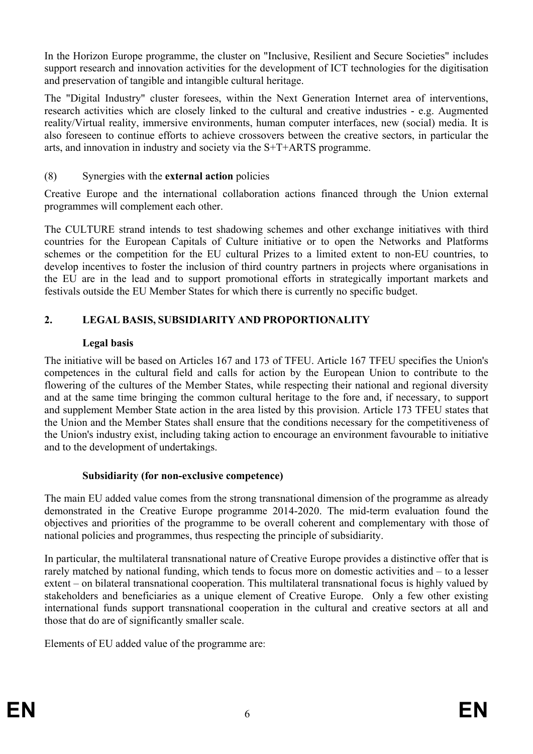In the Horizon Europe programme, the cluster on "Inclusive, Resilient and Secure Societies" includes support research and innovation activities for the development of ICT technologies for the digitisation and preservation of tangible and intangible cultural heritage.

The "Digital Industry" cluster foresees, within the Next Generation Internet area of interventions, research activities which are closely linked to the cultural and creative industries - e.g. Augmented reality/Virtual reality, immersive environments, human computer interfaces, new (social) media. It is also foreseen to continue efforts to achieve crossovers between the creative sectors, in particular the arts, and innovation in industry and society via the S+T+ARTS programme.

# (8) Synergies with the **external action** policies

Creative Europe and the international collaboration actions financed through the Union external programmes will complement each other.

The CULTURE strand intends to test shadowing schemes and other exchange initiatives with third countries for the European Capitals of Culture initiative or to open the Networks and Platforms schemes or the competition for the EU cultural Prizes to a limited extent to non-EU countries, to develop incentives to foster the inclusion of third country partners in projects where organisations in the EU are in the lead and to support promotional efforts in strategically important markets and festivals outside the EU Member States for which there is currently no specific budget.

# **2. LEGAL BASIS, SUBSIDIARITY AND PROPORTIONALITY**

# **Legal basis**

The initiative will be based on Articles 167 and 173 of TFEU. Article 167 TFEU specifies the Union's competences in the cultural field and calls for action by the European Union to contribute to the flowering of the cultures of the Member States, while respecting their national and regional diversity and at the same time bringing the common cultural heritage to the fore and, if necessary, to support and supplement Member State action in the area listed by this provision. Article 173 TFEU states that the Union and the Member States shall ensure that the conditions necessary for the competitiveness of the Union's industry exist, including taking action to encourage an environment favourable to initiative and to the development of undertakings.

# **Subsidiarity (for non-exclusive competence)**

The main EU added value comes from the strong transnational dimension of the programme as already demonstrated in the Creative Europe programme 2014-2020. The mid-term evaluation found the objectives and priorities of the programme to be overall coherent and complementary with those of national policies and programmes, thus respecting the principle of subsidiarity.

In particular, the multilateral transnational nature of Creative Europe provides a distinctive offer that is rarely matched by national funding, which tends to focus more on domestic activities and – to a lesser extent – on bilateral transnational cooperation. This multilateral transnational focus is highly valued by stakeholders and beneficiaries as a unique element of Creative Europe. Only a few other existing international funds support transnational cooperation in the cultural and creative sectors at all and those that do are of significantly smaller scale.

Elements of EU added value of the programme are: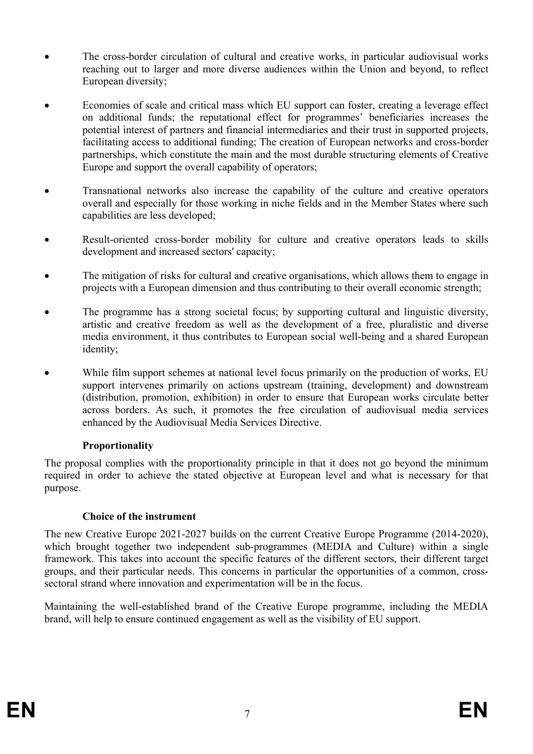- The cross-border circulation of cultural and creative works, in particular audiovisual works reaching out to larger and more diverse audiences within the Union and beyond, to reflect European diversity;
- Economies of scale and critical mass which EU support can foster, creating a leverage effect on additional funds; the reputational effect for programmes' beneficiaries increases the potential interest of partners and financial intermediaries and their trust in supported projects, facilitating access to additional funding; The creation of European networks and cross-border partnerships, which constitute the main and the most durable structuring elements of Creative Europe and support the overall capability of operators;
- Transnational networks also increase the capability of the culture and creative operators overall and especially for those working in niche fields and in the Member States where such capabilities are less developed;
- Result-oriented cross-border mobility for culture and creative operators leads to skills development and increased sectors' capacity;
- The mitigation of risks for cultural and creative organisations, which allows them to engage in projects with a European dimension and thus contributing to their overall economic strength;
- The programme has a strong societal focus; by supporting cultural and linguistic diversity, artistic and creative freedom as well as the development of a free, pluralistic and diverse media environment, it thus contributes to European social well-being and a shared European identity;
- While film support schemes at national level focus primarily on the production of works, EU support intervenes primarily on actions upstream (training, development) and downstream (distribution, promotion, exhibition) in order to ensure that European works circulate better across borders. As such, it promotes the free circulation of audiovisual media services enhanced by the Audiovisual Media Services Directive.

# **Proportionality**

The proposal complies with the proportionality principle in that it does not go beyond the minimum required in order to achieve the stated objective at European level and what is necessary for that purpose.

# **Choice of the instrument**

The new Creative Europe 2021-2027 builds on the current Creative Europe Programme (2014-2020), which brought together two independent sub-programmes (MEDIA and Culture) within a single framework. This takes into account the specific features of the different sectors, their different target groups, and their particular needs. This concerns in particular the opportunities of a common, crosssectoral strand where innovation and experimentation will be in the focus.

Maintaining the well-established brand of the Creative Europe programme, including the MEDIA brand, will help to ensure continued engagement as well as the visibility of EU support.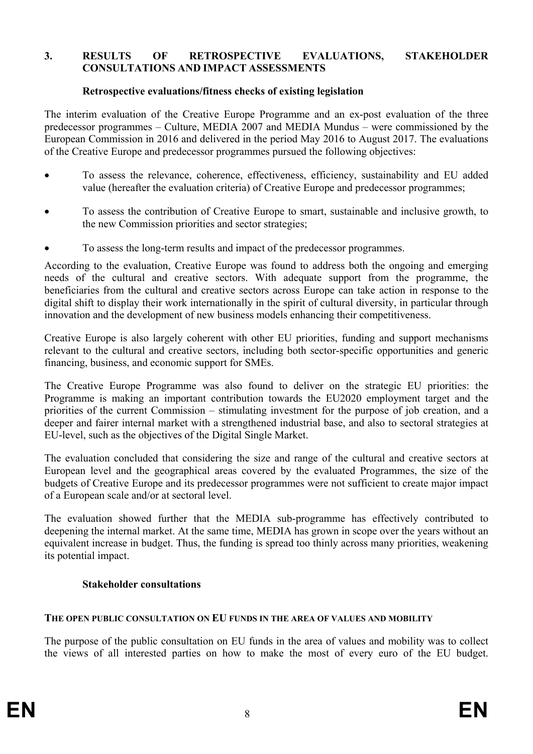#### **3. RESULTS OF RETROSPECTIVE EVALUATIONS, STAKEHOLDER CONSULTATIONS AND IMPACT ASSESSMENTS**

#### **Retrospective evaluations/fitness checks of existing legislation**

The interim evaluation of the Creative Europe Programme and an ex-post evaluation of the three predecessor programmes – Culture, MEDIA 2007 and MEDIA Mundus – were commissioned by the European Commission in 2016 and delivered in the period May 2016 to August 2017. The evaluations of the Creative Europe and predecessor programmes pursued the following objectives:

- To assess the relevance, coherence, effectiveness, efficiency, sustainability and EU added value (hereafter the evaluation criteria) of Creative Europe and predecessor programmes;
- To assess the contribution of Creative Europe to smart, sustainable and inclusive growth, to the new Commission priorities and sector strategies;
- To assess the long-term results and impact of the predecessor programmes.

According to the evaluation, Creative Europe was found to address both the ongoing and emerging needs of the cultural and creative sectors. With adequate support from the programme, the beneficiaries from the cultural and creative sectors across Europe can take action in response to the digital shift to display their work internationally in the spirit of cultural diversity, in particular through innovation and the development of new business models enhancing their competitiveness.

Creative Europe is also largely coherent with other EU priorities, funding and support mechanisms relevant to the cultural and creative sectors, including both sector-specific opportunities and generic financing, business, and economic support for SMEs.

The Creative Europe Programme was also found to deliver on the strategic EU priorities: the Programme is making an important contribution towards the EU2020 employment target and the priorities of the current Commission – stimulating investment for the purpose of job creation, and a deeper and fairer internal market with a strengthened industrial base, and also to sectoral strategies at EU-level, such as the objectives of the Digital Single Market.

The evaluation concluded that considering the size and range of the cultural and creative sectors at European level and the geographical areas covered by the evaluated Programmes, the size of the budgets of Creative Europe and its predecessor programmes were not sufficient to create major impact of a European scale and/or at sectoral level.

The evaluation showed further that the MEDIA sub-programme has effectively contributed to deepening the internal market. At the same time, MEDIA has grown in scope over the years without an equivalent increase in budget. Thus, the funding is spread too thinly across many priorities, weakening its potential impact.

## **Stakeholder consultations**

#### **THE OPEN PUBLIC CONSULTATION ON EU FUNDS IN THE AREA OF VALUES AND MOBILITY**

The purpose of the public consultation on EU funds in the area of values and mobility was to collect the views of all interested parties on how to make the most of every euro of the EU budget.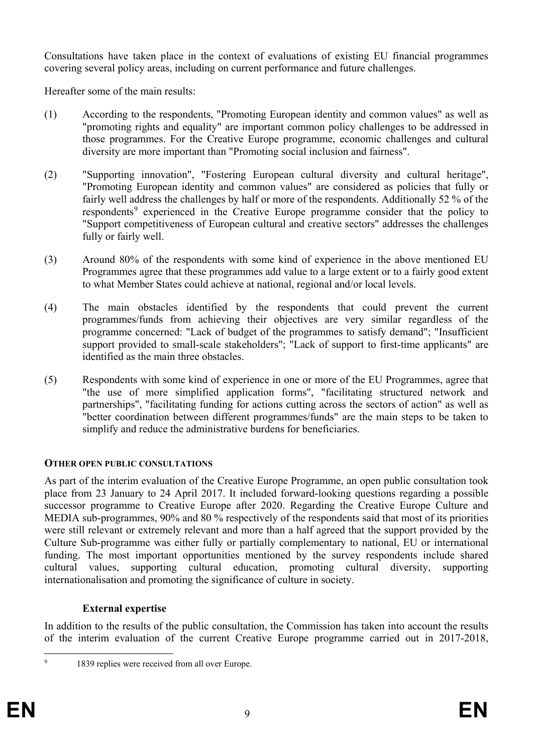Consultations have taken place in the context of evaluations of existing EU financial programmes covering several policy areas, including on current performance and future challenges.

Hereafter some of the main results:

- (1) According to the respondents, "Promoting European identity and common values" as well as "promoting rights and equality" are important common policy challenges to be addressed in those programmes. For the Creative Europe programme, economic challenges and cultural diversity are more important than "Promoting social inclusion and fairness".
- (2) "Supporting innovation", "Fostering European cultural diversity and cultural heritage", "Promoting European identity and common values" are considered as policies that fully or fairly well address the challenges by half or more of the respondents. Additionally 52 % of the respondents<sup>[9](#page-10-0)</sup> experienced in the Creative Europe programme consider that the policy to "Support competitiveness of European cultural and creative sectors" addresses the challenges fully or fairly well.
- (3) Around 80% of the respondents with some kind of experience in the above mentioned EU Programmes agree that these programmes add value to a large extent or to a fairly good extent to what Member States could achieve at national, regional and/or local levels.
- (4) The main obstacles identified by the respondents that could prevent the current programmes/funds from achieving their objectives are very similar regardless of the programme concerned: "Lack of budget of the programmes to satisfy demand"; "Insufficient support provided to small-scale stakeholders"; "Lack of support to first-time applicants" are identified as the main three obstacles.
- (5) Respondents with some kind of experience in one or more of the EU Programmes, agree that "the use of more simplified application forms", "facilitating structured network and partnerships", "facilitating funding for actions cutting across the sectors of action" as well as "better coordination between different programmes/funds" are the main steps to be taken to simplify and reduce the administrative burdens for beneficiaries.

# **OTHER OPEN PUBLIC CONSULTATIONS**

As part of the interim evaluation of the Creative Europe Programme, an open public consultation took place from 23 January to 24 April 2017. It included forward-looking questions regarding a possible successor programme to Creative Europe after 2020. Regarding the Creative Europe Culture and MEDIA sub-programmes, 90% and 80 % respectively of the respondents said that most of its priorities were still relevant or extremely relevant and more than a half agreed that the support provided by the Culture Sub-programme was either fully or partially complementary to national, EU or international funding. The most important opportunities mentioned by the survey respondents include shared cultural values, supporting cultural education, promoting cultural diversity, supporting internationalisation and promoting the significance of culture in society.

# **External expertise**

In addition to the results of the public consultation, the Commission has taken into account the results of the interim evaluation of the current Creative Europe programme carried out in 2017-2018,

<span id="page-10-0"></span><sup>&</sup>lt;sup>9</sup> 1839 replies were received from all over Europe.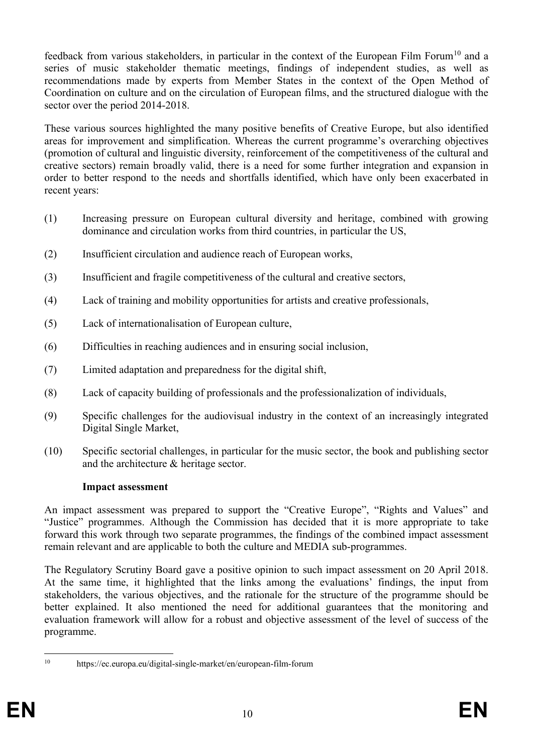feedback from various stakeholders, in particular in the context of the European Film Forum<sup>[10](#page-11-0)</sup> and a series of music stakeholder thematic meetings, findings of independent studies, as well as recommendations made by experts from Member States in the context of the Open Method of Coordination on culture and on the circulation of European films, and the structured dialogue with the sector over the period 2014-2018.

These various sources highlighted the many positive benefits of Creative Europe, but also identified areas for improvement and simplification. Whereas the current programme's overarching objectives (promotion of cultural and linguistic diversity, reinforcement of the competitiveness of the cultural and creative sectors) remain broadly valid, there is a need for some further integration and expansion in order to better respond to the needs and shortfalls identified, which have only been exacerbated in recent years:

- (1) Increasing pressure on European cultural diversity and heritage, combined with growing dominance and circulation works from third countries, in particular the US,
- (2) Insufficient circulation and audience reach of European works,
- (3) Insufficient and fragile competitiveness of the cultural and creative sectors,
- (4) Lack of training and mobility opportunities for artists and creative professionals,
- (5) Lack of internationalisation of European culture,
- (6) Difficulties in reaching audiences and in ensuring social inclusion,
- (7) Limited adaptation and preparedness for the digital shift,
- (8) Lack of capacity building of professionals and the professionalization of individuals,
- (9) Specific challenges for the audiovisual industry in the context of an increasingly integrated Digital Single Market,
- (10) Specific sectorial challenges, in particular for the music sector, the book and publishing sector and the architecture & heritage sector.

# **Impact assessment**

An impact assessment was prepared to support the "Creative Europe", "Rights and Values" and "Justice" programmes. Although the Commission has decided that it is more appropriate to take forward this work through two separate programmes, the findings of the combined impact assessment remain relevant and are applicable to both the culture and MEDIA sub-programmes.

The Regulatory Scrutiny Board gave a positive opinion to such impact assessment on 20 April 2018. At the same time, it highlighted that the links among the evaluations' findings, the input from stakeholders, the various objectives, and the rationale for the structure of the programme should be better explained. It also mentioned the need for additional guarantees that the monitoring and evaluation framework will allow for a robust and objective assessment of the level of success of the programme.

<span id="page-11-0"></span> <sup>10</sup> https://ec.europa.eu/digital-single-market/en/european-film-forum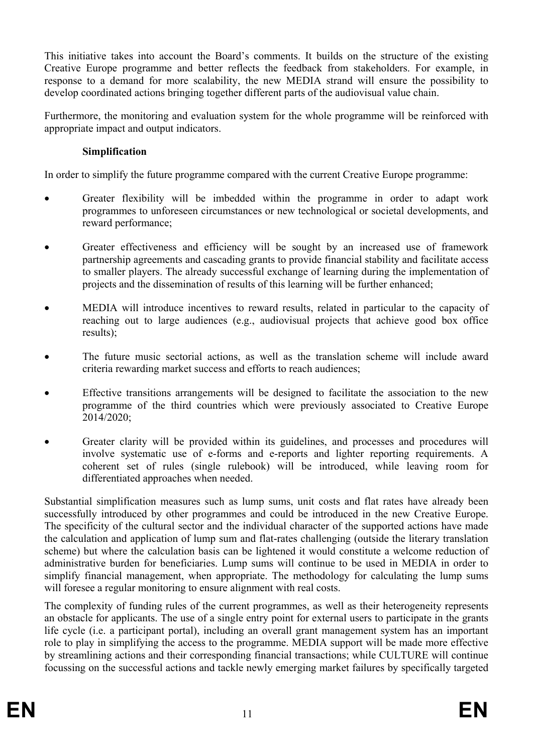This initiative takes into account the Board's comments. It builds on the structure of the existing Creative Europe programme and better reflects the feedback from stakeholders. For example, in response to a demand for more scalability, the new MEDIA strand will ensure the possibility to develop coordinated actions bringing together different parts of the audiovisual value chain.

Furthermore, the monitoring and evaluation system for the whole programme will be reinforced with appropriate impact and output indicators.

## **Simplification**

In order to simplify the future programme compared with the current Creative Europe programme:

- Greater flexibility will be imbedded within the programme in order to adapt work programmes to unforeseen circumstances or new technological or societal developments, and reward performance;
- Greater effectiveness and efficiency will be sought by an increased use of framework partnership agreements and cascading grants to provide financial stability and facilitate access to smaller players. The already successful exchange of learning during the implementation of projects and the dissemination of results of this learning will be further enhanced;
- MEDIA will introduce incentives to reward results, related in particular to the capacity of reaching out to large audiences (e.g., audiovisual projects that achieve good box office results);
- The future music sectorial actions, as well as the translation scheme will include award criteria rewarding market success and efforts to reach audiences;
- Effective transitions arrangements will be designed to facilitate the association to the new programme of the third countries which were previously associated to Creative Europe 2014/2020;
- Greater clarity will be provided within its guidelines, and processes and procedures will involve systematic use of e-forms and e-reports and lighter reporting requirements. A coherent set of rules (single rulebook) will be introduced, while leaving room for differentiated approaches when needed.

Substantial simplification measures such as lump sums, unit costs and flat rates have already been successfully introduced by other programmes and could be introduced in the new Creative Europe. The specificity of the cultural sector and the individual character of the supported actions have made the calculation and application of lump sum and flat-rates challenging (outside the literary translation scheme) but where the calculation basis can be lightened it would constitute a welcome reduction of administrative burden for beneficiaries. Lump sums will continue to be used in MEDIA in order to simplify financial management, when appropriate. The methodology for calculating the lump sums will foresee a regular monitoring to ensure alignment with real costs.

The complexity of funding rules of the current programmes, as well as their heterogeneity represents an obstacle for applicants. The use of a single entry point for external users to participate in the grants life cycle (i.e. a participant portal), including an overall grant management system has an important role to play in simplifying the access to the programme. MEDIA support will be made more effective by streamlining actions and their corresponding financial transactions; while CULTURE will continue focussing on the successful actions and tackle newly emerging market failures by specifically targeted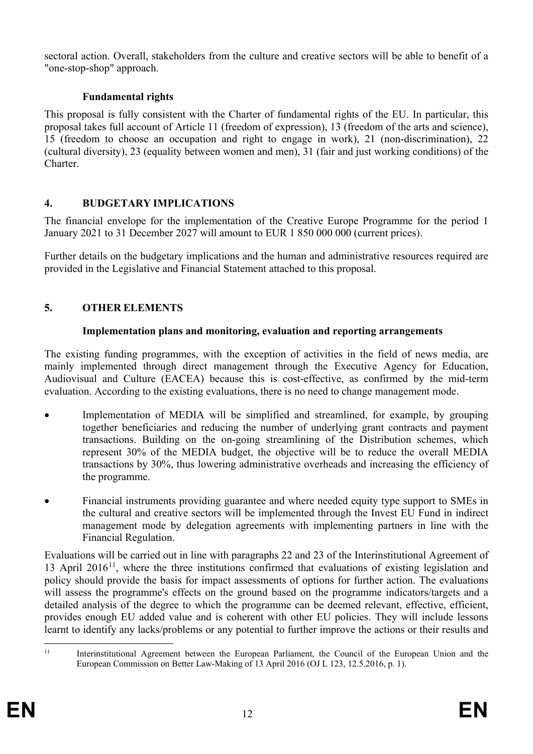sectoral action. Overall, stakeholders from the culture and creative sectors will be able to benefit of a "one-stop-shop" approach.

# **Fundamental rights**

This proposal is fully consistent with the Charter of fundamental rights of the EU. In particular, this proposal takes full account of Article 11 (freedom of expression), 13 (freedom of the arts and science), 15 (freedom to choose an occupation and right to engage in work), 21 (non-discrimination), 22 (cultural diversity), 23 (equality between women and men), 31 (fair and just working conditions) of the **Charter** 

# **4. BUDGETARY IMPLICATIONS**

The financial envelope for the implementation of the Creative Europe Programme for the period 1 January 2021 to 31 December 2027 will amount to EUR 1 850 000 000 (current prices).

Further details on the budgetary implications and the human and administrative resources required are provided in the Legislative and Financial Statement attached to this proposal.

# **5. OTHER ELEMENTS**

# **Implementation plans and monitoring, evaluation and reporting arrangements**

The existing funding programmes, with the exception of activities in the field of news media, are mainly implemented through direct management through the Executive Agency for Education, Audiovisual and Culture (EACEA) because this is cost-effective, as confirmed by the mid-term evaluation. According to the existing evaluations, there is no need to change management mode.

- Implementation of MEDIA will be simplified and streamlined, for example, by grouping together beneficiaries and reducing the number of underlying grant contracts and payment transactions. Building on the on-going streamlining of the Distribution schemes, which represent 30% of the MEDIA budget, the objective will be to reduce the overall MEDIA transactions by 30%, thus lowering administrative overheads and increasing the efficiency of the programme.
- Financial instruments providing guarantee and where needed equity type support to SMEs in the cultural and creative sectors will be implemented through the Invest EU Fund in indirect management mode by delegation agreements with implementing partners in line with the Financial Regulation.

Evaluations will be carried out in line with paragraphs 22 and 23 of the Interinstitutional Agreement of 13 April 2016<sup>[11](#page-13-0)</sup>, where the three institutions confirmed that evaluations of existing legislation and policy should provide the basis for impact assessments of options for further action. The evaluations will assess the programme's effects on the ground based on the programme indicators/targets and a detailed analysis of the degree to which the programme can be deemed relevant, effective, efficient, provides enough EU added value and is coherent with other EU policies. They will include lessons learnt to identify any lacks/problems or any potential to further improve the actions or their results and

<span id="page-13-0"></span><sup>&</sup>lt;sup>11</sup> Interinstitutional Agreement between the European Parliament, the Council of the European Union and the European Commission on Better Law-Making of 13 April 2016 (OJ L 123, 12.5.2016, p. 1).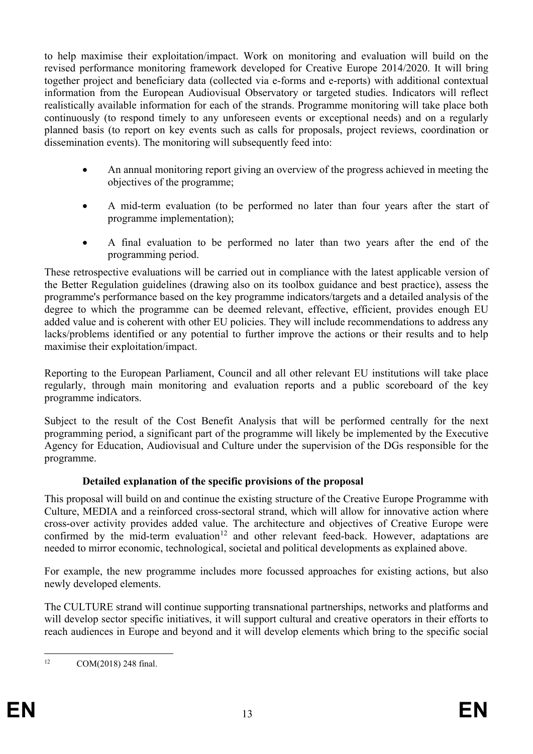to help maximise their exploitation/impact. Work on monitoring and evaluation will build on the revised performance monitoring framework developed for Creative Europe 2014/2020. It will bring together project and beneficiary data (collected via e-forms and e-reports) with additional contextual information from the European Audiovisual Observatory or targeted studies. Indicators will reflect realistically available information for each of the strands. Programme monitoring will take place both continuously (to respond timely to any unforeseen events or exceptional needs) and on a regularly planned basis (to report on key events such as calls for proposals, project reviews, coordination or dissemination events). The monitoring will subsequently feed into:

- An annual monitoring report giving an overview of the progress achieved in meeting the objectives of the programme;
- A mid-term evaluation (to be performed no later than four years after the start of programme implementation);
- A final evaluation to be performed no later than two years after the end of the programming period.

These retrospective evaluations will be carried out in compliance with the latest applicable version of the Better Regulation guidelines (drawing also on its toolbox guidance and best practice), assess the programme's performance based on the key programme indicators/targets and a detailed analysis of the degree to which the programme can be deemed relevant, effective, efficient, provides enough EU added value and is coherent with other EU policies. They will include recommendations to address any lacks/problems identified or any potential to further improve the actions or their results and to help maximise their exploitation/impact.

Reporting to the European Parliament, Council and all other relevant EU institutions will take place regularly, through main monitoring and evaluation reports and a public scoreboard of the key programme indicators.

Subject to the result of the Cost Benefit Analysis that will be performed centrally for the next programming period, a significant part of the programme will likely be implemented by the Executive Agency for Education, Audiovisual and Culture under the supervision of the DGs responsible for the programme.

# **Detailed explanation of the specific provisions of the proposal**

This proposal will build on and continue the existing structure of the Creative Europe Programme with Culture, MEDIA and a reinforced cross-sectoral strand, which will allow for innovative action where cross-over activity provides added value. The architecture and objectives of Creative Europe were confirmed by the mid-term evaluation<sup>[12](#page-14-0)</sup> and other relevant feed-back. However, adaptations are needed to mirror economic, technological, societal and political developments as explained above.

For example, the new programme includes more focussed approaches for existing actions, but also newly developed elements.

The CULTURE strand will continue supporting transnational partnerships, networks and platforms and will develop sector specific initiatives, it will support cultural and creative operators in their efforts to reach audiences in Europe and beyond and it will develop elements which bring to the specific social

<span id="page-14-0"></span> <sup>12</sup> COM(2018) 248 final.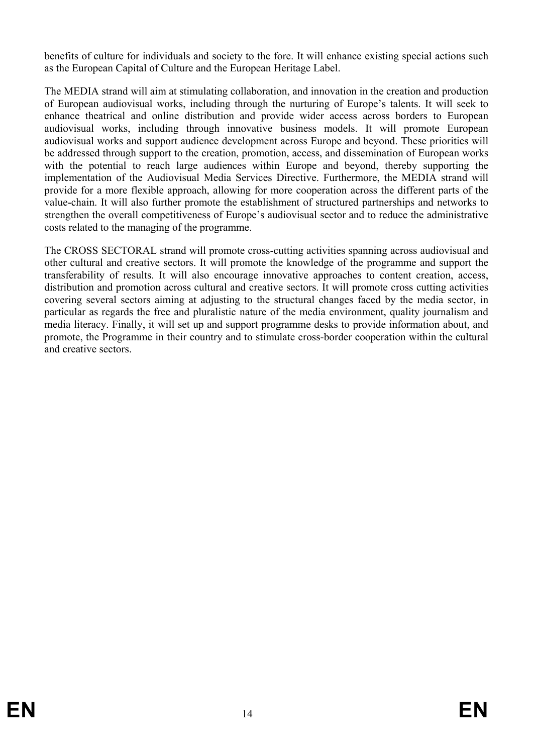benefits of culture for individuals and society to the fore. It will enhance existing special actions such as the European Capital of Culture and the European Heritage Label.

The MEDIA strand will aim at stimulating collaboration, and innovation in the creation and production of European audiovisual works, including through the nurturing of Europe's talents. It will seek to enhance theatrical and online distribution and provide wider access across borders to European audiovisual works, including through innovative business models. It will promote European audiovisual works and support audience development across Europe and beyond. These priorities will be addressed through support to the creation, promotion, access, and dissemination of European works with the potential to reach large audiences within Europe and beyond, thereby supporting the implementation of the Audiovisual Media Services Directive. Furthermore, the MEDIA strand will provide for a more flexible approach, allowing for more cooperation across the different parts of the value-chain. It will also further promote the establishment of structured partnerships and networks to strengthen the overall competitiveness of Europe's audiovisual sector and to reduce the administrative costs related to the managing of the programme.

The CROSS SECTORAL strand will promote cross-cutting activities spanning across audiovisual and other cultural and creative sectors. It will promote the knowledge of the programme and support the transferability of results. It will also encourage innovative approaches to content creation, access, distribution and promotion across cultural and creative sectors. It will promote cross cutting activities covering several sectors aiming at adjusting to the structural changes faced by the media sector, in particular as regards the free and pluralistic nature of the media environment, quality journalism and media literacy. Finally, it will set up and support programme desks to provide information about, and promote, the Programme in their country and to stimulate cross-border cooperation within the cultural and creative sectors.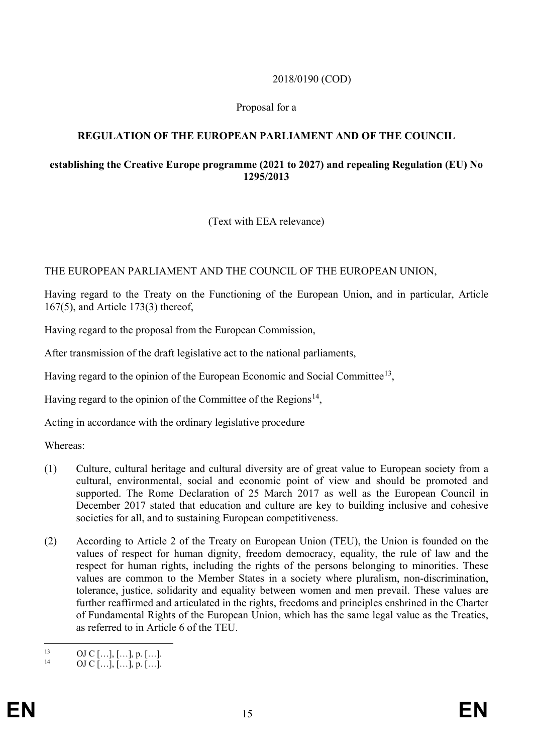## 2018/0190 (COD)

## Proposal for a

## **REGULATION OF THE EUROPEAN PARLIAMENT AND OF THE COUNCIL**

## **establishing the Creative Europe programme (2021 to 2027) and repealing Regulation (EU) No 1295/2013**

(Text with EEA relevance)

## THE EUROPEAN PARLIAMENT AND THE COUNCIL OF THE EUROPEAN UNION,

Having regard to the Treaty on the Functioning of the European Union, and in particular, Article 167(5), and Article 173(3) thereof,

Having regard to the proposal from the European Commission,

After transmission of the draft legislative act to the national parliaments,

Having regard to the opinion of the European Economic and Social Committee<sup>13</sup>,

Having regard to the opinion of the Committee of the Regions<sup>14</sup>,

Acting in accordance with the ordinary legislative procedure

Whereas:

- (1) Culture, cultural heritage and cultural diversity are of great value to European society from a cultural, environmental, social and economic point of view and should be promoted and supported. The Rome Declaration of 25 March 2017 as well as the European Council in December 2017 stated that education and culture are key to building inclusive and cohesive societies for all, and to sustaining European competitiveness.
- (2) According to Article 2 of the Treaty on European Union (TEU), the Union is founded on the values of respect for human dignity, freedom democracy, equality, the rule of law and the respect for human rights, including the rights of the persons belonging to minorities. These values are common to the Member States in a society where pluralism, non-discrimination, tolerance, justice, solidarity and equality between women and men prevail. These values are further reaffirmed and articulated in the rights, freedoms and principles enshrined in the Charter of Fundamental Rights of the European Union, which has the same legal value as the Treaties, as referred to in Article 6 of the TEU.

<span id="page-16-0"></span> $^{13}$  OJ C [...], [...], p. [...].

<span id="page-16-1"></span>OJ C  $[...]$ ,  $[...]$ , p.  $[...]$ .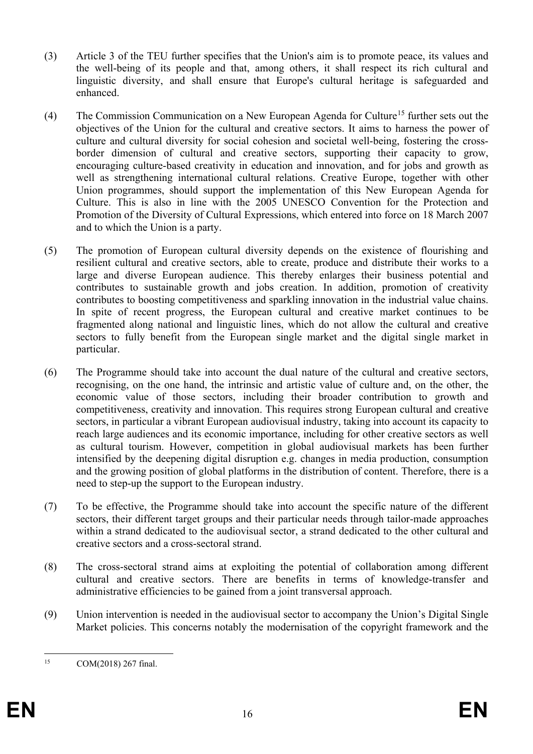- (3) Article 3 of the TEU further specifies that the Union's aim is to promote peace, its values and the well-being of its people and that, among others, it shall respect its rich cultural and linguistic diversity, and shall ensure that Europe's cultural heritage is safeguarded and enhanced.
- (4) The Commission Communication on a New European Agenda for Culture<sup>[15](#page-17-0)</sup> further sets out the objectives of the Union for the cultural and creative sectors. It aims to harness the power of culture and cultural diversity for social cohesion and societal well-being, fostering the crossborder dimension of cultural and creative sectors, supporting their capacity to grow, encouraging culture-based creativity in education and innovation, and for jobs and growth as well as strengthening international cultural relations. Creative Europe, together with other Union programmes, should support the implementation of this New European Agenda for Culture. This is also in line with the 2005 UNESCO Convention for the Protection and Promotion of the Diversity of Cultural Expressions, which entered into force on 18 March 2007 and to which the Union is a party.
- (5) The promotion of European cultural diversity depends on the existence of flourishing and resilient cultural and creative sectors, able to create, produce and distribute their works to a large and diverse European audience. This thereby enlarges their business potential and contributes to sustainable growth and jobs creation. In addition, promotion of creativity contributes to boosting competitiveness and sparkling innovation in the industrial value chains. In spite of recent progress, the European cultural and creative market continues to be fragmented along national and linguistic lines, which do not allow the cultural and creative sectors to fully benefit from the European single market and the digital single market in particular.
- (6) The Programme should take into account the dual nature of the cultural and creative sectors, recognising, on the one hand, the intrinsic and artistic value of culture and, on the other, the economic value of those sectors, including their broader contribution to growth and competitiveness, creativity and innovation. This requires strong European cultural and creative sectors, in particular a vibrant European audiovisual industry, taking into account its capacity to reach large audiences and its economic importance, including for other creative sectors as well as cultural tourism. However, competition in global audiovisual markets has been further intensified by the deepening digital disruption e.g. changes in media production, consumption and the growing position of global platforms in the distribution of content. Therefore, there is a need to step-up the support to the European industry.
- (7) To be effective, the Programme should take into account the specific nature of the different sectors, their different target groups and their particular needs through tailor-made approaches within a strand dedicated to the audiovisual sector, a strand dedicated to the other cultural and creative sectors and a cross-sectoral strand.
- (8) The cross-sectoral strand aims at exploiting the potential of collaboration among different cultural and creative sectors. There are benefits in terms of knowledge-transfer and administrative efficiencies to be gained from a joint transversal approach.
- (9) Union intervention is needed in the audiovisual sector to accompany the Union's Digital Single Market policies. This concerns notably the modernisation of the copyright framework and the

<span id="page-17-0"></span> <sup>15</sup> COM(2018) 267 final.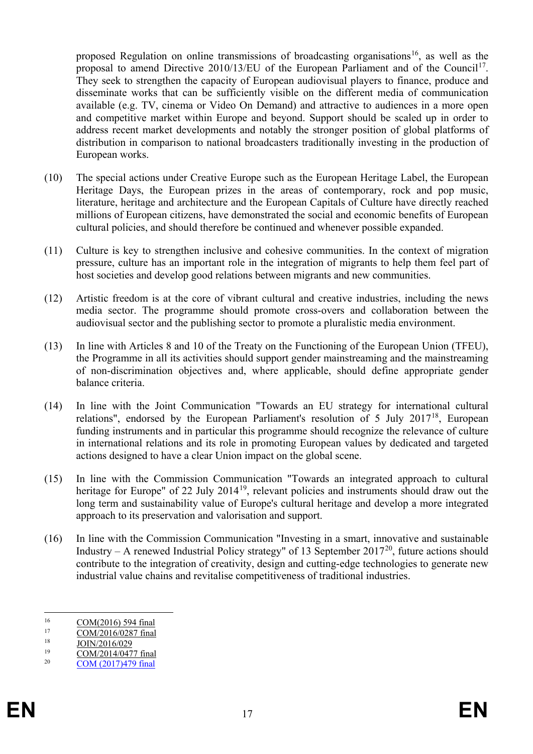proposed Regulation on online transmissions of broadcasting organisations<sup>16</sup>, as well as the proposal to amend Directive  $2010/13/EU$  of the European Parliament and of the Council<sup>17</sup>. They seek to strengthen the capacity of European audiovisual players to finance, produce and disseminate works that can be sufficiently visible on the different media of communication available (e.g. TV, cinema or Video On Demand) and attractive to audiences in a more open and competitive market within Europe and beyond. Support should be scaled up in order to address recent market developments and notably the stronger position of global platforms of distribution in comparison to national broadcasters traditionally investing in the production of European works.

- (10) The special actions under Creative Europe such as the European Heritage Label, the European Heritage Days, the European prizes in the areas of contemporary, rock and pop music, literature, heritage and architecture and the European Capitals of Culture have directly reached millions of European citizens, have demonstrated the social and economic benefits of European cultural policies, and should therefore be continued and whenever possible expanded.
- (11) Culture is key to strengthen inclusive and cohesive communities. In the context of migration pressure, culture has an important role in the integration of migrants to help them feel part of host societies and develop good relations between migrants and new communities.
- (12) Artistic freedom is at the core of vibrant cultural and creative industries, including the news media sector. The programme should promote cross-overs and collaboration between the audiovisual sector and the publishing sector to promote a pluralistic media environment.
- (13) In line with Articles 8 and 10 of the Treaty on the Functioning of the European Union (TFEU), the Programme in all its activities should support gender mainstreaming and the mainstreaming of non-discrimination objectives and, where applicable, should define appropriate gender balance criteria.
- (14) In line with the Joint Communication "Towards an EU strategy for international cultural relations", endorsed by the European Parliament's resolution of 5 July 2017<sup>[18](#page-18-2)</sup>, European funding instruments and in particular this programme should recognize the relevance of culture in international relations and its role in promoting European values by dedicated and targeted actions designed to have a clear Union impact on the global scene.
- (15) In line with the Commission Communication "Towards an integrated approach to cultural heritage for Europe" of 22 July 2014<sup>19</sup>, relevant policies and instruments should draw out the long term and sustainability value of Europe's cultural heritage and develop a more integrated approach to its preservation and valorisation and support.
- (16) In line with the Commission Communication "Investing in a smart, innovative and sustainable Industry – A renewed Industrial Policy strategy" of 13 September  $2017^{20}$  $2017^{20}$ , future actions should contribute to the integration of creativity, design and cutting-edge technologies to generate new industrial value chains and revitalise competitiveness of traditional industries.

- <span id="page-18-1"></span> $\frac{17}{18}$  [COM/2016/0287 final](https://eur-lex.europa.eu/legal-content/EN/TXT/?uri=COM:2016:0287:FIN)
- <span id="page-18-2"></span> $\frac{18}{19}$   $\frac{JON/2016/029}{COM/2014/047}$
- <span id="page-18-3"></span> $\frac{19}{20}$  [COM/2014/0477 final](https://eur-lex.europa.eu/legal-content/EN/TXT/?uri=CELEX:52014DC0477)

<span id="page-18-0"></span> $\frac{16}{17}$  [COM\(2016\) 594 final](https://eur-lex.europa.eu/legal-content/EN/TXT/?uri=COM:2016:0594:FIN)

<span id="page-18-4"></span><sup>20</sup> [COM \(2017\)479 final](https://eur-lex.europa.eu/legal-content/en/ALL/?uri=CELEX%3A52017DC0479)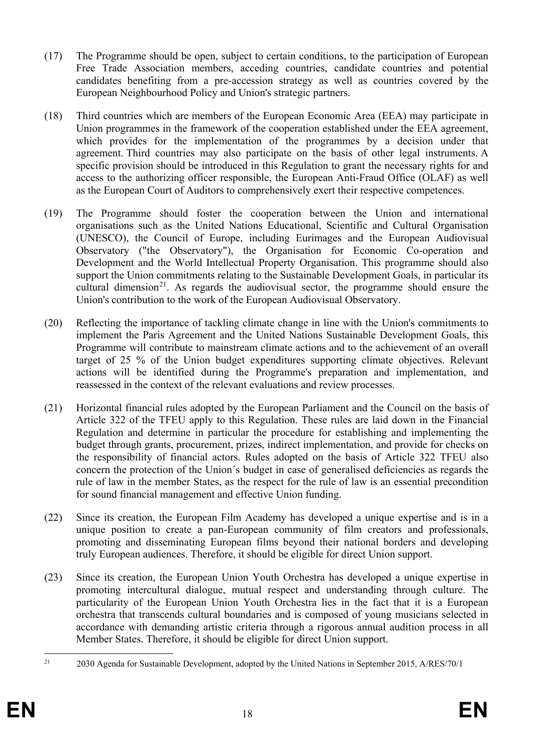- (17) The Programme should be open, subject to certain conditions, to the participation of European Free Trade Association members, acceding countries, candidate countries and potential candidates benefiting from a pre-accession strategy as well as countries covered by the European Neighbourhood Policy and Union's strategic partners.
- (18) Third countries which are members of the European Economic Area (EEA) may participate in Union programmes in the framework of the cooperation established under the EEA agreement, which provides for the implementation of the programmes by a decision under that agreement. Third countries may also participate on the basis of other legal instruments. A specific provision should be introduced in this Regulation to grant the necessary rights for and access to the authorizing officer responsible, the European Anti-Fraud Office (OLAF) as well as the European Court of Auditors to comprehensively exert their respective competences.
- (19) The Programme should foster the cooperation between the Union and international organisations such as the United Nations Educational, Scientific and Cultural Organisation (UNESCO), the Council of Europe, including Eurimages and the European Audiovisual Observatory ("the Observatory"), the Organisation for Economic Co-operation and Development and the World Intellectual Property Organisation. This programme should also support the Union commitments relating to the Sustainable Development Goals, in particular its cultural dimension<sup>[21](#page-19-0)</sup>. As regards the audiovisual sector, the programme should ensure the Union's contribution to the work of the European Audiovisual Observatory.
- (20) Reflecting the importance of tackling climate change in line with the Union's commitments to implement the Paris Agreement and the United Nations Sustainable Development Goals, this Programme will contribute to mainstream climate actions and to the achievement of an overall target of 25 % of the Union budget expenditures supporting climate objectives. Relevant actions will be identified during the Programme's preparation and implementation, and reassessed in the context of the relevant evaluations and review processes.
- (21) Horizontal financial rules adopted by the European Parliament and the Council on the basis of Article 322 of the TFEU apply to this Regulation. These rules are laid down in the Financial Regulation and determine in particular the procedure for establishing and implementing the budget through grants, procurement, prizes, indirect implementation, and provide for checks on the responsibility of financial actors. Rules adopted on the basis of Article 322 TFEU also concern the protection of the Union´s budget in case of generalised deficiencies as regards the rule of law in the member States, as the respect for the rule of law is an essential precondition for sound financial management and effective Union funding.
- (22) Since its creation, the European Film Academy has developed a unique expertise and is in a unique position to create a pan-European community of film creators and professionals, promoting and disseminating European films beyond their national borders and developing truly European audiences. Therefore, it should be eligible for direct Union support.
- (23) Since its creation, the European Union Youth Orchestra has developed a unique expertise in promoting intercultural dialogue, mutual respect and understanding through culture. The particularity of the European Union Youth Orchestra lies in the fact that it is a European orchestra that transcends cultural boundaries and is composed of young musicians selected in accordance with demanding artistic criteria through a rigorous annual audition process in all Member States. Therefore, it should be eligible for direct Union support.

<span id="page-19-0"></span><sup>&</sup>lt;sup>21</sup> 2030 Agenda for Sustainable Development, adopted by the United Nations in September 2015, A/RES/70/1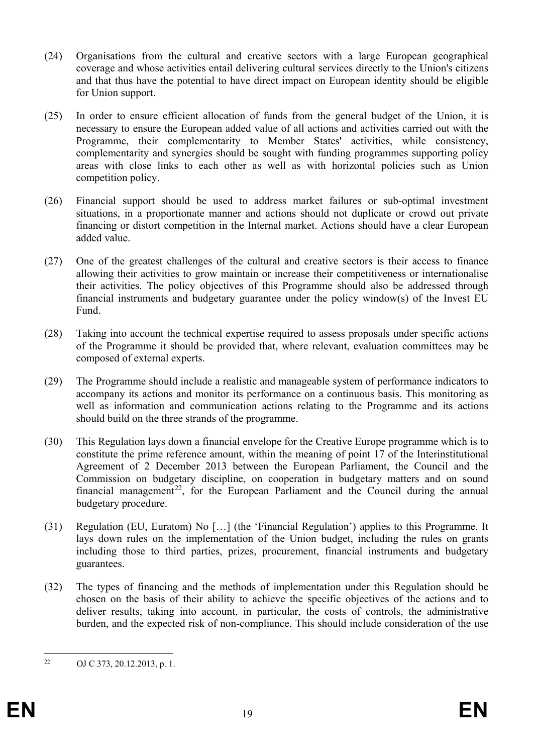- (24) Organisations from the cultural and creative sectors with a large European geographical coverage and whose activities entail delivering cultural services directly to the Union's citizens and that thus have the potential to have direct impact on European identity should be eligible for Union support.
- (25) In order to ensure efficient allocation of funds from the general budget of the Union, it is necessary to ensure the European added value of all actions and activities carried out with the Programme, their complementarity to Member States' activities, while consistency, complementarity and synergies should be sought with funding programmes supporting policy areas with close links to each other as well as with horizontal policies such as Union competition policy.
- (26) Financial support should be used to address market failures or sub-optimal investment situations, in a proportionate manner and actions should not duplicate or crowd out private financing or distort competition in the Internal market. Actions should have a clear European added value.
- (27) One of the greatest challenges of the cultural and creative sectors is their access to finance allowing their activities to grow maintain or increase their competitiveness or internationalise their activities. The policy objectives of this Programme should also be addressed through financial instruments and budgetary guarantee under the policy window(s) of the Invest EU Fund.
- (28) Taking into account the technical expertise required to assess proposals under specific actions of the Programme it should be provided that, where relevant, evaluation committees may be composed of external experts.
- (29) The Programme should include a realistic and manageable system of performance indicators to accompany its actions and monitor its performance on a continuous basis. This monitoring as well as information and communication actions relating to the Programme and its actions should build on the three strands of the programme.
- (30) This Regulation lays down a financial envelope for the Creative Europe programme which is to constitute the prime reference amount, within the meaning of point 17 of the Interinstitutional Agreement of 2 December 2013 between the European Parliament, the Council and the Commission on budgetary discipline, on cooperation in budgetary matters and on sound financial management<sup>[22](#page-20-0)</sup>, for the European Parliament and the Council during the annual budgetary procedure.
- (31) Regulation (EU, Euratom) No […] (the 'Financial Regulation') applies to this Programme. It lays down rules on the implementation of the Union budget, including the rules on grants including those to third parties, prizes, procurement, financial instruments and budgetary guarantees.
- (32) The types of financing and the methods of implementation under this Regulation should be chosen on the basis of their ability to achieve the specific objectives of the actions and to deliver results, taking into account, in particular, the costs of controls, the administrative burden, and the expected risk of non-compliance. This should include consideration of the use

<span id="page-20-0"></span><sup>&</sup>lt;sup>22</sup> OJ C 373, 20.12.2013, p. 1.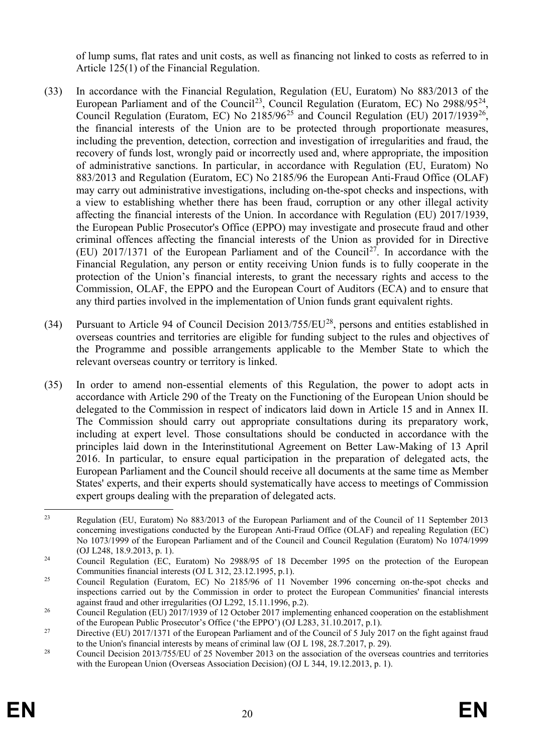of lump sums, flat rates and unit costs, as well as financing not linked to costs as referred to in Article 125(1) of the Financial Regulation.

- (33) In accordance with the Financial Regulation, Regulation (EU, Euratom) No 883/2013 of the European Parliament and of the Council<sup>[23](#page-21-0)</sup>, Council Regulation (Euratom, EC) No 2988/95<sup>24</sup>. Council Regulation (Euratom, EC) No  $2185/96^{25}$  $2185/96^{25}$  $2185/96^{25}$  and Council Regulation (EU)  $2017/1939^{26}$ , the financial interests of the Union are to be protected through proportionate measures, including the prevention, detection, correction and investigation of irregularities and fraud, the recovery of funds lost, wrongly paid or incorrectly used and, where appropriate, the imposition of administrative sanctions. In particular, in accordance with Regulation (EU, Euratom) No 883/2013 and Regulation (Euratom, EC) No 2185/96 the European Anti-Fraud Office (OLAF) may carry out administrative investigations, including on-the-spot checks and inspections, with a view to establishing whether there has been fraud, corruption or any other illegal activity affecting the financial interests of the Union. In accordance with Regulation (EU) 2017/1939, the European Public Prosecutor's Office (EPPO) may investigate and prosecute fraud and other criminal offences affecting the financial interests of the Union as provided for in Directive (EU) 2017/1371 of the European Parliament and of the Council<sup>27</sup>. In accordance with the Financial Regulation, any person or entity receiving Union funds is to fully cooperate in the protection of the Union's financial interests, to grant the necessary rights and access to the Commission, OLAF, the EPPO and the European Court of Auditors (ECA) and to ensure that any third parties involved in the implementation of Union funds grant equivalent rights.
- (34) Pursuant to Article 94 of Council Decision 2013/755/EU[28](#page-21-5), persons and entities established in overseas countries and territories are eligible for funding subject to the rules and objectives of the Programme and possible arrangements applicable to the Member State to which the relevant overseas country or territory is linked.
- (35) In order to amend non-essential elements of this Regulation, the power to adopt acts in accordance with Article 290 of the Treaty on the Functioning of the European Union should be delegated to the Commission in respect of indicators laid down in Article 15 and in Annex II. The Commission should carry out appropriate consultations during its preparatory work, including at expert level. Those consultations should be conducted in accordance with the principles laid down in the Interinstitutional Agreement on Better Law-Making of 13 April 2016. In particular, to ensure equal participation in the preparation of delegated acts, the European Parliament and the Council should receive all documents at the same time as Member States' experts, and their experts should systematically have access to meetings of Commission expert groups dealing with the preparation of delegated acts.

<span id="page-21-0"></span> <sup>23</sup> Regulation (EU, Euratom) No 883/2013 of the European Parliament and of the Council of 11 September 2013 concerning investigations conducted by the European Anti-Fraud Office (OLAF) and repealing Regulation (EC) No 1073/1999 of the European Parliament and of the Council and Council Regulation (Euratom) No 1074/1999 (OJ L248, 18.9.2013, p. 1).

<span id="page-21-1"></span><sup>&</sup>lt;sup>24</sup> Council Regulation (EC, Euratom) No 2988/95 of 18 December 1995 on the protection of the European Communities financial interests (OJ L 312, 23.12.1995, p.1).

<span id="page-21-2"></span><sup>&</sup>lt;sup>25</sup> Council Regulation (Euratom, EC) No 2185/96 of 11 November 1996 concerning on-the-spot checks and inspections carried out by the Commission in order to protect the European Communities' financial interests against fraud and other irregularities (OJ L292, 15.11.1996, p.2).

<span id="page-21-3"></span><sup>&</sup>lt;sup>26</sup> Council Regulation (EU)  $2017/1939$  of 12 October 2017 implementing enhanced cooperation on the establishment of the European Public Prosecutor's Office ('the EPPO') (OJ L283, 31.10.2017, p.1).

<span id="page-21-4"></span><sup>&</sup>lt;sup>27</sup> Directive (EU) 2017/1371 of the European Parliament and of the Council of 5 July 2017 on the fight against fraud to the Union's financial interests by means of criminal law (OJ L 198, 28.7.2017, p. 29).

<span id="page-21-5"></span><sup>&</sup>lt;sup>28</sup> Council Decision 2013/755/EU of 25 November 2013 on the association of the overseas countries and territories with the European Union (Overseas Association Decision) (OJ L 344, 19.12.2013, p. 1).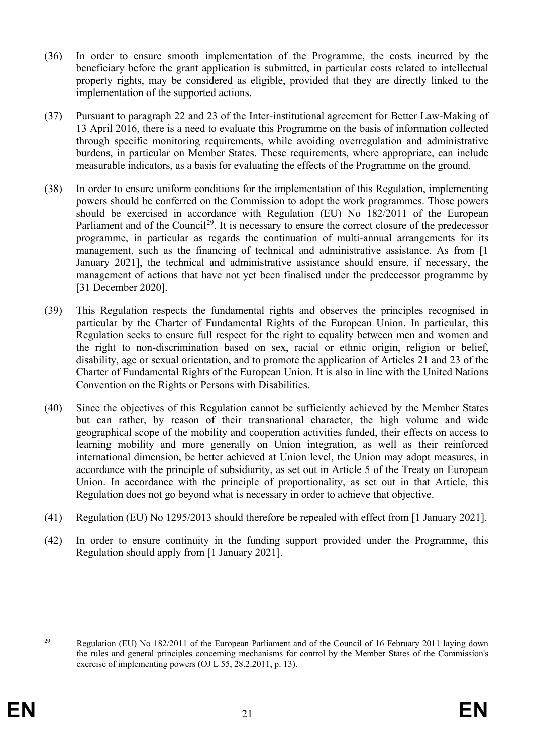- (36) In order to ensure smooth implementation of the Programme, the costs incurred by the beneficiary before the grant application is submitted, in particular costs related to intellectual property rights, may be considered as eligible, provided that they are directly linked to the implementation of the supported actions.
- (37) Pursuant to paragraph 22 and 23 of the Inter-institutional agreement for Better Law-Making of 13 April 2016, there is a need to evaluate this Programme on the basis of information collected through specific monitoring requirements, while avoiding overregulation and administrative burdens, in particular on Member States. These requirements, where appropriate, can include measurable indicators, as a basis for evaluating the effects of the Programme on the ground.
- (38) In order to ensure uniform conditions for the implementation of this Regulation, implementing powers should be conferred on the Commission to adopt the work programmes. Those powers should be exercised in accordance with Regulation (EU) No 182/2011 of the European Parliament and of the Council<sup>[29](#page-22-0)</sup>. It is necessary to ensure the correct closure of the predecessor programme, in particular as regards the continuation of multi-annual arrangements for its management, such as the financing of technical and administrative assistance. As from [1 January 2021], the technical and administrative assistance should ensure, if necessary, the management of actions that have not yet been finalised under the predecessor programme by [31 December 2020].
- (39) This Regulation respects the fundamental rights and observes the principles recognised in particular by the Charter of Fundamental Rights of the European Union. In particular, this Regulation seeks to ensure full respect for the right to equality between men and women and the right to non-discrimination based on sex, racial or ethnic origin, religion or belief, disability, age or sexual orientation, and to promote the application of Articles 21 and 23 of the Charter of Fundamental Rights of the European Union. It is also in line with the United Nations Convention on the Rights or Persons with Disabilities.
- (40) Since the objectives of this Regulation cannot be sufficiently achieved by the Member States but can rather, by reason of their transnational character, the high volume and wide geographical scope of the mobility and cooperation activities funded, their effects on access to learning mobility and more generally on Union integration, as well as their reinforced international dimension, be better achieved at Union level, the Union may adopt measures, in accordance with the principle of subsidiarity, as set out in Article 5 of the Treaty on European Union. In accordance with the principle of proportionality, as set out in that Article, this Regulation does not go beyond what is necessary in order to achieve that objective.
- (41) Regulation (EU) No 1295/2013 should therefore be repealed with effect from [1 January 2021].
- (42) In order to ensure continuity in the funding support provided under the Programme, this Regulation should apply from [1 January 2021].

<span id="page-22-0"></span><sup>&</sup>lt;sup>29</sup> Regulation (EU) No 182/2011 of the European Parliament and of the Council of 16 February 2011 laying down the rules and general principles concerning mechanisms for control by the Member States of the Commission's exercise of implementing powers (OJ L 55, 28.2.2011, p. 13).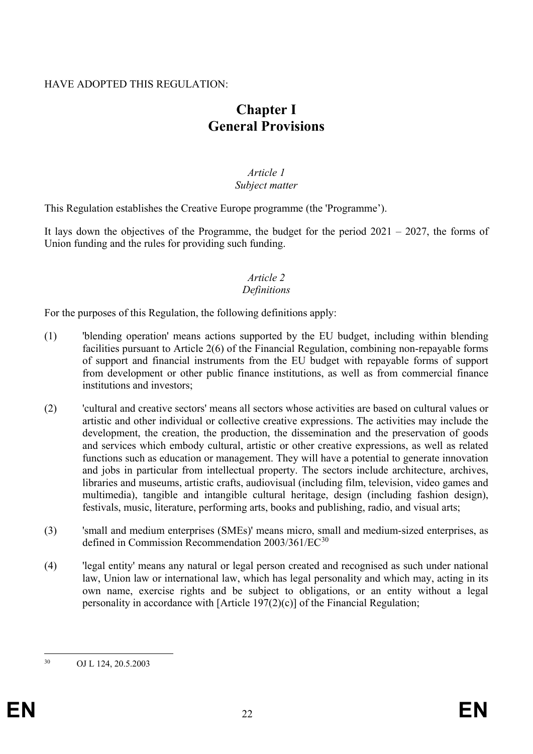## HAVE ADOPTED THIS REGULATION:

# **Chapter I General Provisions**

## *Article 1 Subject matter*

This Regulation establishes the Creative Europe programme (the 'Programme').

It lays down the objectives of the Programme, the budget for the period  $2021 - 2027$ , the forms of Union funding and the rules for providing such funding.

#### *Article 2 Definitions*

For the purposes of this Regulation, the following definitions apply:

- (1) 'blending operation' means actions supported by the EU budget, including within blending facilities pursuant to Article 2(6) of the Financial Regulation, combining non-repayable forms of support and financial instruments from the EU budget with repayable forms of support from development or other public finance institutions, as well as from commercial finance institutions and investors;
- (2) 'cultural and creative sectors' means all sectors whose activities are based on cultural values or artistic and other individual or collective creative expressions. The activities may include the development, the creation, the production, the dissemination and the preservation of goods and services which embody cultural, artistic or other creative expressions, as well as related functions such as education or management. They will have a potential to generate innovation and jobs in particular from intellectual property. The sectors include architecture, archives, libraries and museums, artistic crafts, audiovisual (including film, television, video games and multimedia), tangible and intangible cultural heritage, design (including fashion design), festivals, music, literature, performing arts, books and publishing, radio, and visual arts;
- (3) 'small and medium enterprises (SMEs)' means micro, small and medium-sized enterprises, as defined in Commission Recommendation 2003/361/EC<sup>[30](#page-23-0)</sup>
- (4) 'legal entity' means any natural or legal person created and recognised as such under national law, Union law or international law, which has legal personality and which may, acting in its own name, exercise rights and be subject to obligations, or an entity without a legal personality in accordance with [Article 197(2)(c)] of the Financial Regulation;

<span id="page-23-0"></span> <sup>30</sup> OJ L 124, 20.5.2003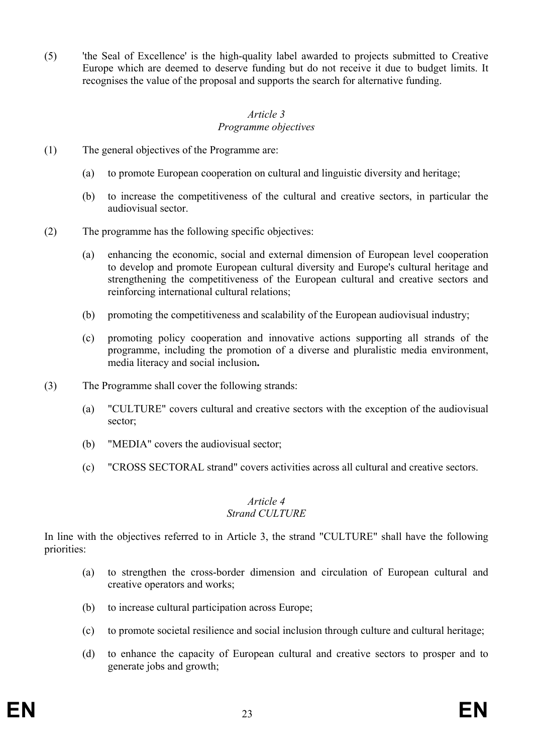(5) 'the Seal of Excellence' is the high-quality label awarded to projects submitted to Creative Europe which are deemed to deserve funding but do not receive it due to budget limits. It recognises the value of the proposal and supports the search for alternative funding.

#### *Article 3 Programme objectives*

- (1) The general objectives of the Programme are:
	- (a) to promote European cooperation on cultural and linguistic diversity and heritage;
	- (b) to increase the competitiveness of the cultural and creative sectors, in particular the audiovisual sector.
- (2) The programme has the following specific objectives:
	- (a) enhancing the economic, social and external dimension of European level cooperation to develop and promote European cultural diversity and Europe's cultural heritage and strengthening the competitiveness of the European cultural and creative sectors and reinforcing international cultural relations;
	- (b) promoting the competitiveness and scalability of the European audiovisual industry;
	- (c) promoting policy cooperation and innovative actions supporting all strands of the programme, including the promotion of a diverse and pluralistic media environment, media literacy and social inclusion**.**
- (3) The Programme shall cover the following strands:
	- (a) "CULTURE" covers cultural and creative sectors with the exception of the audiovisual sector;
	- (b) "MEDIA" covers the audiovisual sector;
	- (c) "CROSS SECTORAL strand" covers activities across all cultural and creative sectors.

#### *Article 4 Strand CULTURE*

In line with the objectives referred to in Article 3, the strand "CULTURE" shall have the following priorities:

- (a) to strengthen the cross-border dimension and circulation of European cultural and creative operators and works;
- (b) to increase cultural participation across Europe;
- (c) to promote societal resilience and social inclusion through culture and cultural heritage;
- (d) to enhance the capacity of European cultural and creative sectors to prosper and to generate jobs and growth;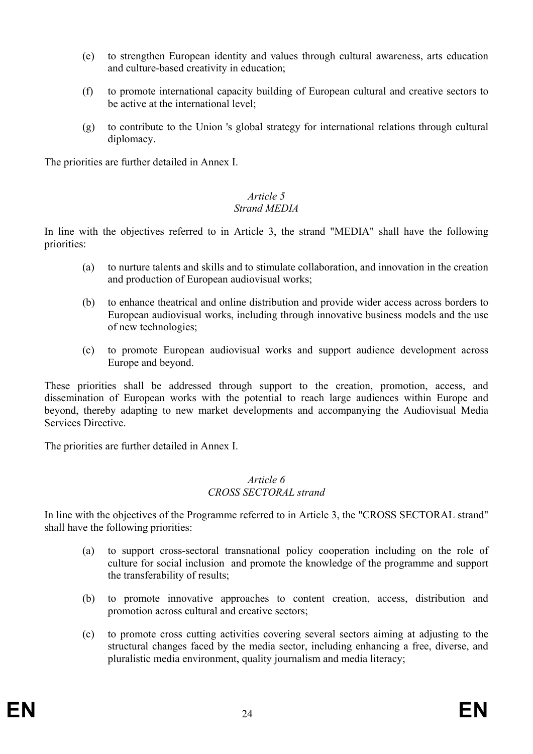- (e) to strengthen European identity and values through cultural awareness, arts education and culture-based creativity in education;
- (f) to promote international capacity building of European cultural and creative sectors to be active at the international level;
- (g) to contribute to the Union 's global strategy for international relations through cultural diplomacy.

The priorities are further detailed in Annex I.

## *Article 5 Strand MEDIA*

In line with the objectives referred to in Article 3, the strand "MEDIA" shall have the following priorities:

- (a) to nurture talents and skills and to stimulate collaboration, and innovation in the creation and production of European audiovisual works;
- (b) to enhance theatrical and online distribution and provide wider access across borders to European audiovisual works, including through innovative business models and the use of new technologies;
- (c) to promote European audiovisual works and support audience development across Europe and beyond.

These priorities shall be addressed through support to the creation, promotion, access, and dissemination of European works with the potential to reach large audiences within Europe and beyond, thereby adapting to new market developments and accompanying the Audiovisual Media Services Directive.

The priorities are further detailed in Annex I.

#### *Article 6 CROSS SECTORAL strand*

In line with the objectives of the Programme referred to in Article 3, the "CROSS SECTORAL strand" shall have the following priorities:

- (a) to support cross-sectoral transnational policy cooperation including on the role of culture for social inclusion and promote the knowledge of the programme and support the transferability of results;
- (b) to promote innovative approaches to content creation, access, distribution and promotion across cultural and creative sectors;
- (c) to promote cross cutting activities covering several sectors aiming at adjusting to the structural changes faced by the media sector, including enhancing a free, diverse, and pluralistic media environment, quality journalism and media literacy;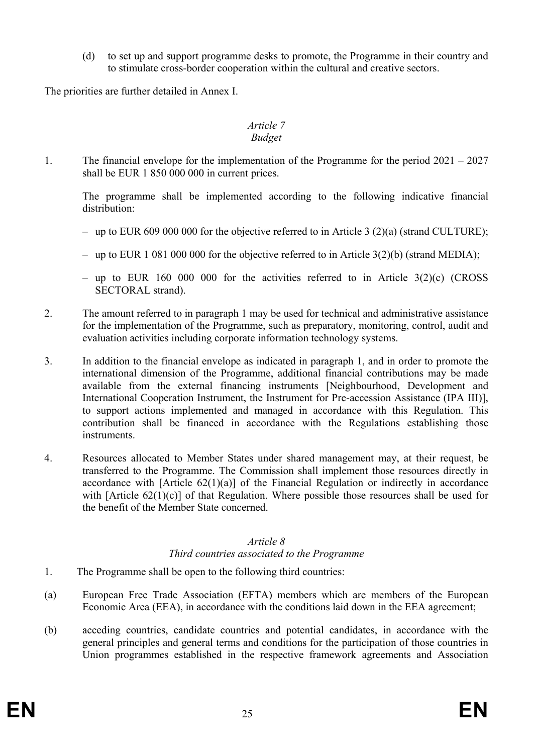(d) to set up and support programme desks to promote, the Programme in their country and to stimulate cross-border cooperation within the cultural and creative sectors.

The priorities are further detailed in Annex I.

#### *Article 7 Budget*

1. The financial envelope for the implementation of the Programme for the period 2021 – 2027 shall be EUR 1 850 000 000 in current prices.

The programme shall be implemented according to the following indicative financial distribution:

- up to EUR 609 000 000 for the objective referred to in Article 3 (2)(a) (strand CULTURE);
- up to EUR 1 081 000 000 for the objective referred to in Article 3(2)(b) (strand MEDIA);
- up to EUR 160 000 000 for the activities referred to in Article  $3(2)(c)$  (CROSS SECTORAL strand).
- 2. The amount referred to in paragraph 1 may be used for technical and administrative assistance for the implementation of the Programme, such as preparatory, monitoring, control, audit and evaluation activities including corporate information technology systems.
- 3. In addition to the financial envelope as indicated in paragraph 1, and in order to promote the international dimension of the Programme, additional financial contributions may be made available from the external financing instruments [Neighbourhood, Development and International Cooperation Instrument, the Instrument for Pre-accession Assistance (IPA III)], to support actions implemented and managed in accordance with this Regulation. This contribution shall be financed in accordance with the Regulations establishing those instruments.
- 4. Resources allocated to Member States under shared management may, at their request, be transferred to the Programme. The Commission shall implement those resources directly in accordance with  $[Article 62(1)(a)]$  of the Financial Regulation or indirectly in accordance with [Article 62(1)(c)] of that Regulation. Where possible those resources shall be used for the benefit of the Member State concerned.

## *Article 8*

## *Third countries associated to the Programme*

- 1. The Programme shall be open to the following third countries:
- (a) European Free Trade Association (EFTA) members which are members of the European Economic Area (EEA), in accordance with the conditions laid down in the EEA agreement;
- (b) acceding countries, candidate countries and potential candidates, in accordance with the general principles and general terms and conditions for the participation of those countries in Union programmes established in the respective framework agreements and Association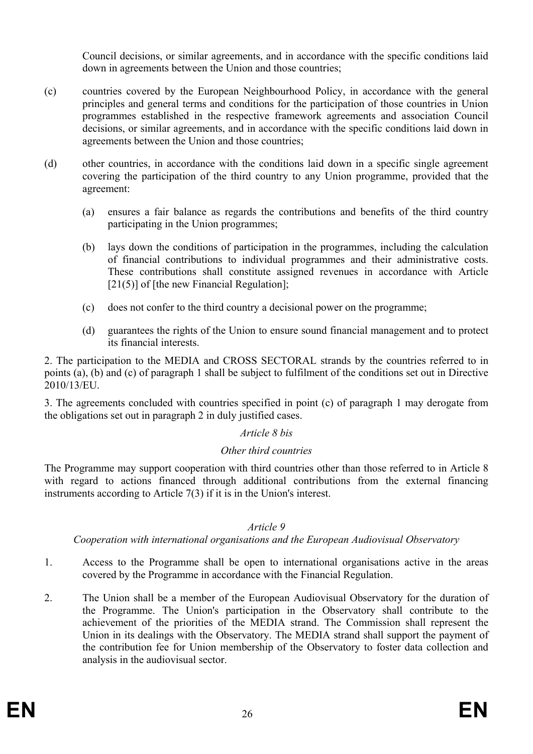Council decisions, or similar agreements, and in accordance with the specific conditions laid down in agreements between the Union and those countries;

- (c) countries covered by the European Neighbourhood Policy, in accordance with the general principles and general terms and conditions for the participation of those countries in Union programmes established in the respective framework agreements and association Council decisions, or similar agreements, and in accordance with the specific conditions laid down in agreements between the Union and those countries;
- (d) other countries, in accordance with the conditions laid down in a specific single agreement covering the participation of the third country to any Union programme, provided that the agreement:
	- (a) ensures a fair balance as regards the contributions and benefits of the third country participating in the Union programmes;
	- (b) lays down the conditions of participation in the programmes, including the calculation of financial contributions to individual programmes and their administrative costs. These contributions shall constitute assigned revenues in accordance with Article  $[21(5)]$  of [the new Financial Regulation];
	- (c) does not confer to the third country a decisional power on the programme;
	- (d) guarantees the rights of the Union to ensure sound financial management and to protect its financial interests.

2. The participation to the MEDIA and CROSS SECTORAL strands by the countries referred to in points (a), (b) and (c) of paragraph 1 shall be subject to fulfilment of the conditions set out in Directive 2010/13/EU.

3. The agreements concluded with countries specified in point (c) of paragraph 1 may derogate from the obligations set out in paragraph 2 in duly justified cases.

# *Article 8 bis*

## *Other third countries*

The Programme may support cooperation with third countries other than those referred to in Article 8 with regard to actions financed through additional contributions from the external financing instruments according to Article 7(3) if it is in the Union's interest.

## *Article 9*

# *Cooperation with international organisations and the European Audiovisual Observatory*

- 1. Access to the Programme shall be open to international organisations active in the areas covered by the Programme in accordance with the Financial Regulation.
- 2. The Union shall be a member of the European Audiovisual Observatory for the duration of the Programme. The Union's participation in the Observatory shall contribute to the achievement of the priorities of the MEDIA strand. The Commission shall represent the Union in its dealings with the Observatory. The MEDIA strand shall support the payment of the contribution fee for Union membership of the Observatory to foster data collection and analysis in the audiovisual sector.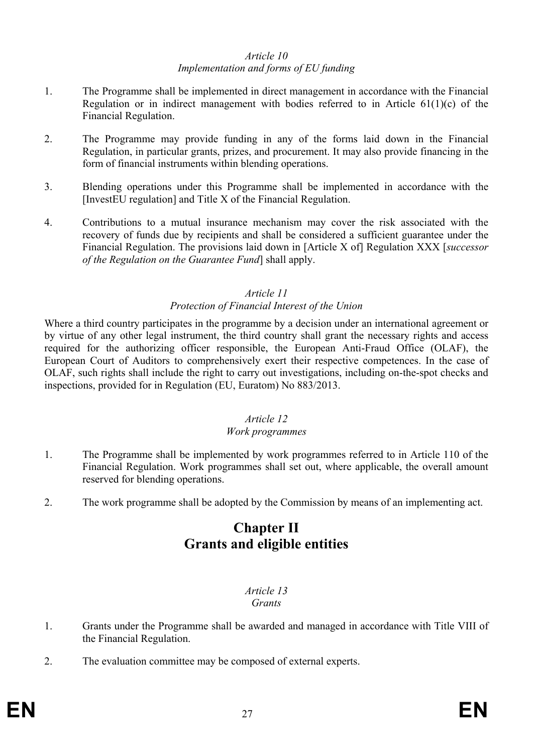#### *Article 10 Implementation and forms of EU funding*

- 1. The Programme shall be implemented in direct management in accordance with the Financial Regulation or in indirect management with bodies referred to in Article 61(1)(c) of the Financial Regulation.
- 2. The Programme may provide funding in any of the forms laid down in the Financial Regulation, in particular grants, prizes, and procurement. It may also provide financing in the form of financial instruments within blending operations.
- 3. Blending operations under this Programme shall be implemented in accordance with the [InvestEU regulation] and Title X of the Financial Regulation.
- 4. Contributions to a mutual insurance mechanism may cover the risk associated with the recovery of funds due by recipients and shall be considered a sufficient guarantee under the Financial Regulation. The provisions laid down in [Article X of] Regulation XXX [*successor of the Regulation on the Guarantee Fund*] shall apply.

## *Article 11*

## *Protection of Financial Interest of the Union*

Where a third country participates in the programme by a decision under an international agreement or by virtue of any other legal instrument, the third country shall grant the necessary rights and access required for the authorizing officer responsible, the European Anti-Fraud Office (OLAF), the European Court of Auditors to comprehensively exert their respective competences. In the case of OLAF, such rights shall include the right to carry out investigations, including on-the-spot checks and inspections, provided for in Regulation (EU, Euratom) No 883/2013.

# *Article 12*

# *Work programmes*

- 1. The Programme shall be implemented by work programmes referred to in Article 110 of the Financial Regulation. Work programmes shall set out, where applicable, the overall amount reserved for blending operations.
- 2. The work programme shall be adopted by the Commission by means of an implementing act.

# **Chapter II Grants and eligible entities**

#### *Article 13 Grants*

- 1. Grants under the Programme shall be awarded and managed in accordance with Title VIII of the Financial Regulation.
- 2. The evaluation committee may be composed of external experts.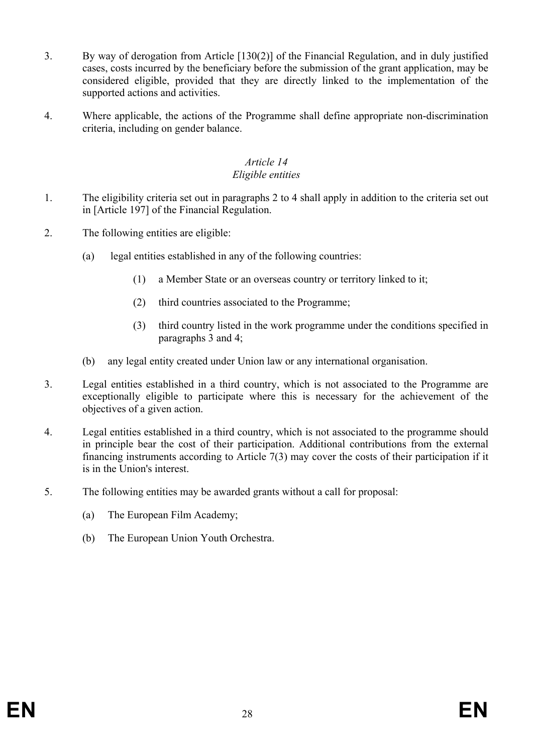- 3. By way of derogation from Article [130(2)] of the Financial Regulation, and in duly justified cases, costs incurred by the beneficiary before the submission of the grant application, may be considered eligible, provided that they are directly linked to the implementation of the supported actions and activities.
- 4. Where applicable, the actions of the Programme shall define appropriate non-discrimination criteria, including on gender balance.

#### *Article 14 Eligible entities*

- 1. The eligibility criteria set out in paragraphs 2 to 4 shall apply in addition to the criteria set out in [Article 197] of the Financial Regulation.
- 2. The following entities are eligible:
	- (a) legal entities established in any of the following countries:
		- (1) a Member State or an overseas country or territory linked to it;
		- (2) third countries associated to the Programme;
		- (3) third country listed in the work programme under the conditions specified in paragraphs 3 and 4;
	- (b) any legal entity created under Union law or any international organisation.
- 3. Legal entities established in a third country, which is not associated to the Programme are exceptionally eligible to participate where this is necessary for the achievement of the objectives of a given action.
- 4. Legal entities established in a third country, which is not associated to the programme should in principle bear the cost of their participation. Additional contributions from the external financing instruments according to Article 7(3) may cover the costs of their participation if it is in the Union's interest.
- 5. The following entities may be awarded grants without a call for proposal:
	- (a) The European Film Academy;
	- (b) The European Union Youth Orchestra.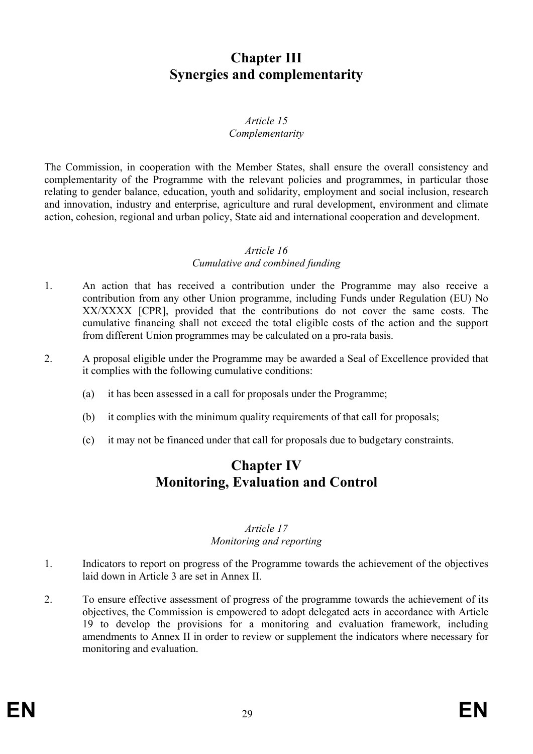# **Chapter III Synergies and complementarity**

### *Article 15 Complementarity*

The Commission, in cooperation with the Member States, shall ensure the overall consistency and complementarity of the Programme with the relevant policies and programmes, in particular those relating to gender balance, education, youth and solidarity, employment and social inclusion, research and innovation, industry and enterprise, agriculture and rural development, environment and climate action, cohesion, regional and urban policy, State aid and international cooperation and development.

## *Article 16*

## *Cumulative and combined funding*

- 1. An action that has received a contribution under the Programme may also receive a contribution from any other Union programme, including Funds under Regulation (EU) No XX/XXXX [CPR], provided that the contributions do not cover the same costs. The cumulative financing shall not exceed the total eligible costs of the action and the support from different Union programmes may be calculated on a pro-rata basis.
- 2. A proposal eligible under the Programme may be awarded a Seal of Excellence provided that it complies with the following cumulative conditions:
	- (a) it has been assessed in a call for proposals under the Programme;
	- (b) it complies with the minimum quality requirements of that call for proposals;
	- (c) it may not be financed under that call for proposals due to budgetary constraints.

# **Chapter IV Monitoring, Evaluation and Control**

## *Article 17 Monitoring and reporting*

- 1. Indicators to report on progress of the Programme towards the achievement of the objectives laid down in Article 3 are set in Annex II.
- 2. To ensure effective assessment of progress of the programme towards the achievement of its objectives, the Commission is empowered to adopt delegated acts in accordance with Article 19 to develop the provisions for a monitoring and evaluation framework, including amendments to Annex II in order to review or supplement the indicators where necessary for monitoring and evaluation.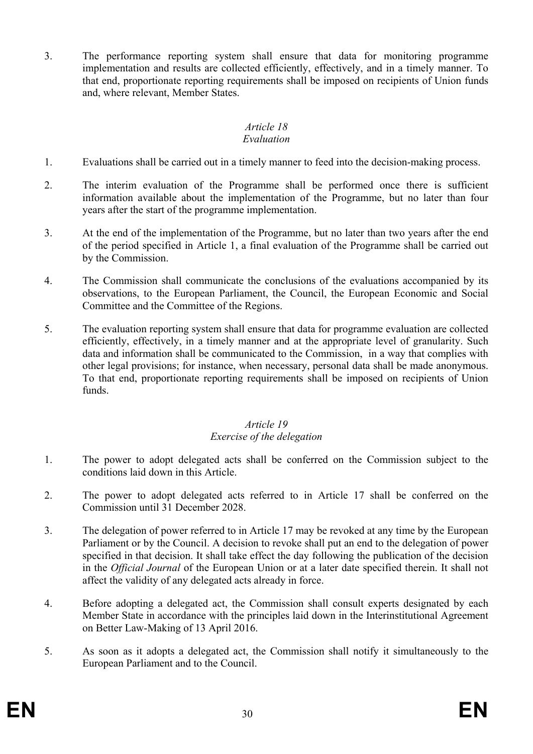3. The performance reporting system shall ensure that data for monitoring programme implementation and results are collected efficiently, effectively, and in a timely manner. To that end, proportionate reporting requirements shall be imposed on recipients of Union funds and, where relevant, Member States.

#### *Article 18 Evaluation*

- 1. Evaluations shall be carried out in a timely manner to feed into the decision-making process.
- 2. The interim evaluation of the Programme shall be performed once there is sufficient information available about the implementation of the Programme, but no later than four years after the start of the programme implementation.
- 3. At the end of the implementation of the Programme, but no later than two years after the end of the period specified in Article 1, a final evaluation of the Programme shall be carried out by the Commission.
- 4. The Commission shall communicate the conclusions of the evaluations accompanied by its observations, to the European Parliament, the Council, the European Economic and Social Committee and the Committee of the Regions.
- 5. The evaluation reporting system shall ensure that data for programme evaluation are collected efficiently, effectively, in a timely manner and at the appropriate level of granularity. Such data and information shall be communicated to the Commission, in a way that complies with other legal provisions; for instance, when necessary, personal data shall be made anonymous. To that end, proportionate reporting requirements shall be imposed on recipients of Union funds.

# *Article 19 Exercise of the delegation*

- 1. The power to adopt delegated acts shall be conferred on the Commission subject to the conditions laid down in this Article.
- 2. The power to adopt delegated acts referred to in Article 17 shall be conferred on the Commission until 31 December 2028.
- 3. The delegation of power referred to in Article 17 may be revoked at any time by the European Parliament or by the Council. A decision to revoke shall put an end to the delegation of power specified in that decision. It shall take effect the day following the publication of the decision in the *Official Journal* of the European Union or at a later date specified therein. It shall not affect the validity of any delegated acts already in force.
- 4. Before adopting a delegated act, the Commission shall consult experts designated by each Member State in accordance with the principles laid down in the Interinstitutional Agreement on Better Law-Making of 13 April 2016.
- 5. As soon as it adopts a delegated act, the Commission shall notify it simultaneously to the European Parliament and to the Council.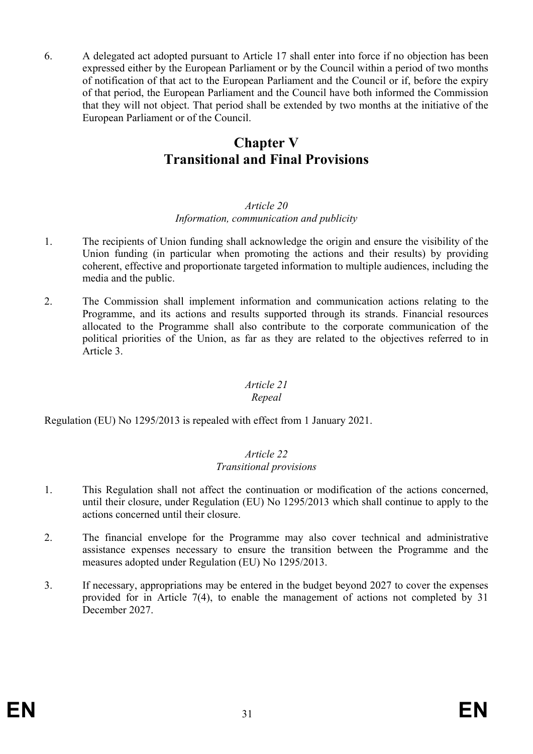6. A delegated act adopted pursuant to Article 17 shall enter into force if no objection has been expressed either by the European Parliament or by the Council within a period of two months of notification of that act to the European Parliament and the Council or if, before the expiry of that period, the European Parliament and the Council have both informed the Commission that they will not object. That period shall be extended by two months at the initiative of the European Parliament or of the Council.

# **Chapter V Transitional and Final Provisions**

# *Article 20 Information, communication and publicity*

- 1. The recipients of Union funding shall acknowledge the origin and ensure the visibility of the Union funding (in particular when promoting the actions and their results) by providing coherent, effective and proportionate targeted information to multiple audiences, including the media and the public.
- 2. The Commission shall implement information and communication actions relating to the Programme, and its actions and results supported through its strands. Financial resources allocated to the Programme shall also contribute to the corporate communication of the political priorities of the Union, as far as they are related to the objectives referred to in Article 3.

# *Article 21*

*Repeal* 

Regulation (EU) No 1295/2013 is repealed with effect from 1 January 2021.

## *Article 22 Transitional provisions*

- 1. This Regulation shall not affect the continuation or modification of the actions concerned, until their closure, under Regulation (EU) No 1295/2013 which shall continue to apply to the actions concerned until their closure.
- 2. The financial envelope for the Programme may also cover technical and administrative assistance expenses necessary to ensure the transition between the Programme and the measures adopted under Regulation (EU) No 1295/2013.
- 3. If necessary, appropriations may be entered in the budget beyond 2027 to cover the expenses provided for in Article 7(4), to enable the management of actions not completed by 31 December 2027.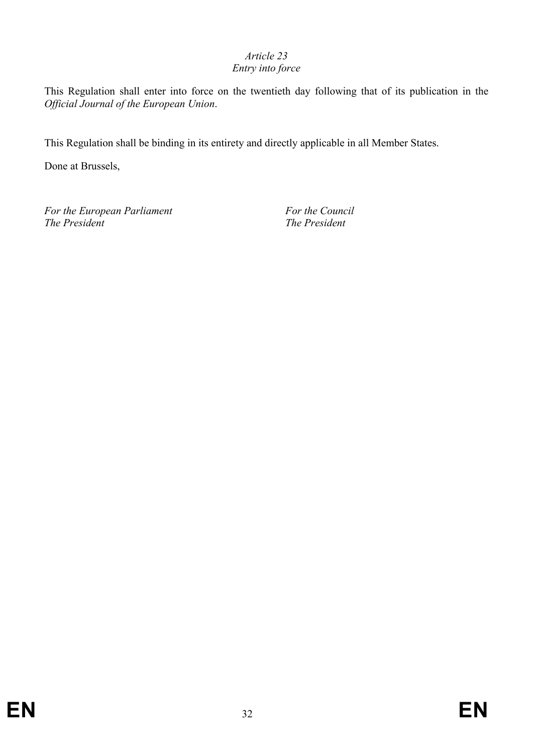#### *Article 23 Entry into force*

This Regulation shall enter into force on the twentieth day following that of its publication in the *Official Journal of the European Union*.

This Regulation shall be binding in its entirety and directly applicable in all Member States.

Done at Brussels,

*For the European Parliament For the Council For the Council The President The President The President*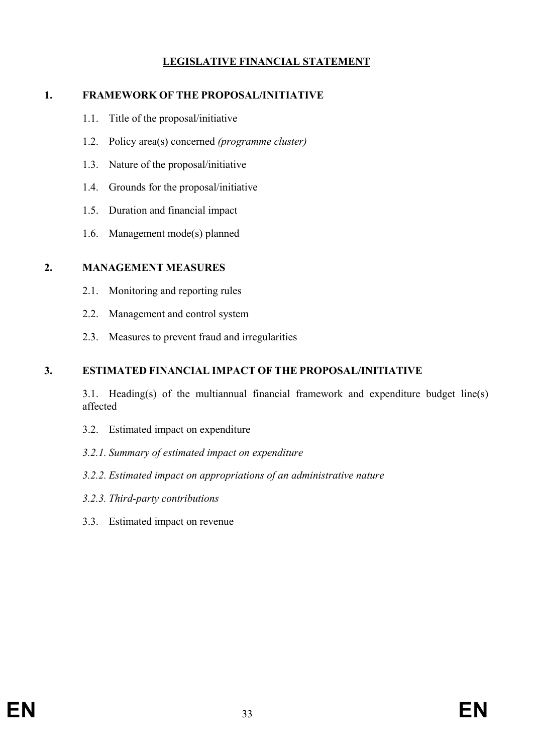# **LEGISLATIVE FINANCIAL STATEMENT**

# **1. FRAMEWORK OF THE PROPOSAL/INITIATIVE**

- 1.1. Title of the proposal/initiative
- 1.2. Policy area(s) concerned *(programme cluster)*
- 1.3. Nature of the proposal/initiative
- 1.4. Grounds for the proposal/initiative
- 1.5. Duration and financial impact
- 1.6. Management mode(s) planned

## **2. MANAGEMENT MEASURES**

- 2.1. Monitoring and reporting rules
- 2.2. Management and control system
- 2.3. Measures to prevent fraud and irregularities

# **3. ESTIMATED FINANCIAL IMPACT OF THE PROPOSAL/INITIATIVE**

3.1. Heading(s) of the multiannual financial framework and expenditure budget line(s) affected

- 3.2. Estimated impact on expenditure
- *3.2.1. Summary of estimated impact on expenditure*
- *3.2.2. Estimated impact on appropriations of an administrative nature*
- *3.2.3. Third-party contributions*
- 3.3. Estimated impact on revenue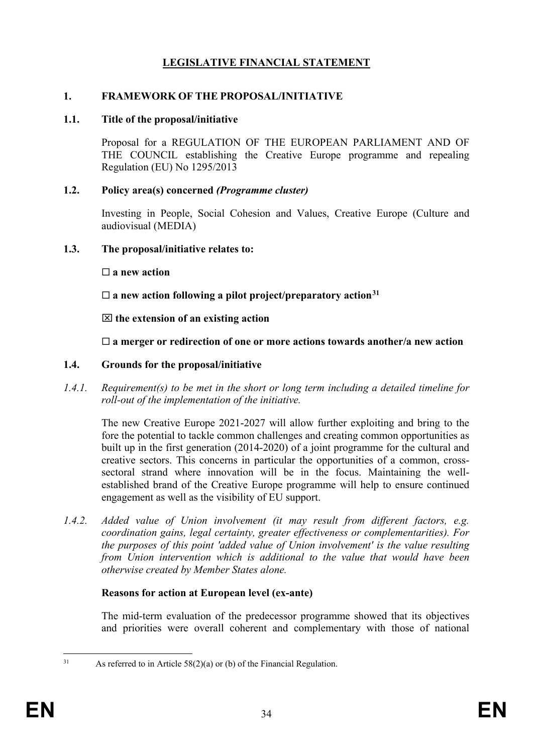# **LEGISLATIVE FINANCIAL STATEMENT**

## **1. FRAMEWORK OF THE PROPOSAL/INITIATIVE**

### **1.1. Title of the proposal/initiative**

Proposal for a REGULATION OF THE EUROPEAN PARLIAMENT AND OF THE COUNCIL establishing the Creative Europe programme and repealing Regulation (EU) No 1295/2013

#### **1.2. Policy area(s) concerned** *(Programme cluster)*

Investing in People, Social Cohesion and Values, Creative Europe (Culture and audiovisual (MEDIA)

#### **1.3. The proposal/initiative relates to:**

**a new action**

**a new action following a pilot project/preparatory action[31](#page-35-0)**

**the extension of an existing action**

**a merger or redirection of one or more actions towards another/a new action**

## **1.4. Grounds for the proposal/initiative**

*1.4.1. Requirement(s) to be met in the short or long term including a detailed timeline for roll-out of the implementation of the initiative.*

The new Creative Europe 2021-2027 will allow further exploiting and bring to the fore the potential to tackle common challenges and creating common opportunities as built up in the first generation (2014-2020) of a joint programme for the cultural and creative sectors. This concerns in particular the opportunities of a common, crosssectoral strand where innovation will be in the focus. Maintaining the wellestablished brand of the Creative Europe programme will help to ensure continued engagement as well as the visibility of EU support.

*1.4.2. Added value of Union involvement (it may result from different factors, e.g. coordination gains, legal certainty, greater effectiveness or complementarities). For the purposes of this point 'added value of Union involvement' is the value resulting from Union intervention which is additional to the value that would have been otherwise created by Member States alone.*

## **Reasons for action at European level (ex-ante)**

The mid-term evaluation of the predecessor programme showed that its objectives and priorities were overall coherent and complementary with those of national

<span id="page-35-0"></span><sup>&</sup>lt;sup>31</sup> As referred to in Article 58(2)(a) or (b) of the Financial Regulation.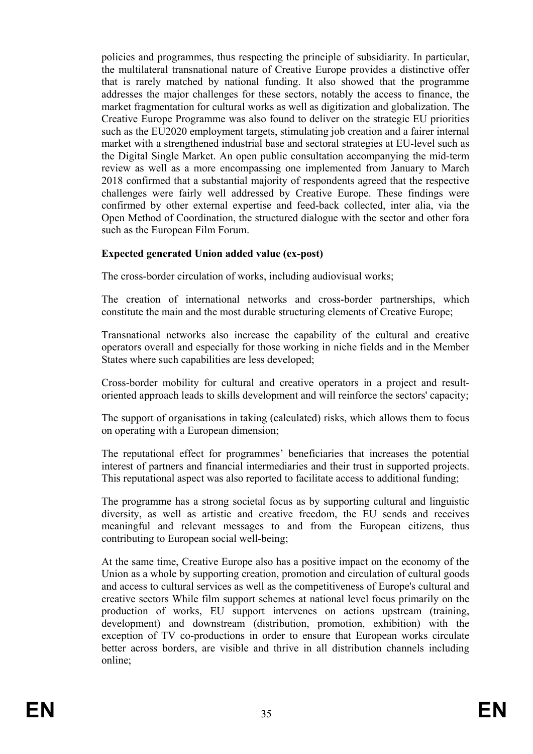policies and programmes, thus respecting the principle of subsidiarity. In particular, the multilateral transnational nature of Creative Europe provides a distinctive offer that is rarely matched by national funding. It also showed that the programme addresses the major challenges for these sectors, notably the access to finance, the market fragmentation for cultural works as well as digitization and globalization. The Creative Europe Programme was also found to deliver on the strategic EU priorities such as the EU2020 employment targets, stimulating job creation and a fairer internal market with a strengthened industrial base and sectoral strategies at EU-level such as the Digital Single Market. An open public consultation accompanying the mid-term review as well as a more encompassing one implemented from January to March 2018 confirmed that a substantial majority of respondents agreed that the respective challenges were fairly well addressed by Creative Europe. These findings were confirmed by other external expertise and feed-back collected, inter alia, via the Open Method of Coordination, the structured dialogue with the sector and other fora such as the European Film Forum.

## **Expected generated Union added value (ex-post)**

The cross-border circulation of works, including audiovisual works;

The creation of international networks and cross-border partnerships, which constitute the main and the most durable structuring elements of Creative Europe;

Transnational networks also increase the capability of the cultural and creative operators overall and especially for those working in niche fields and in the Member States where such capabilities are less developed;

Cross-border mobility for cultural and creative operators in a project and resultoriented approach leads to skills development and will reinforce the sectors' capacity;

The support of organisations in taking (calculated) risks, which allows them to focus on operating with a European dimension;

The reputational effect for programmes' beneficiaries that increases the potential interest of partners and financial intermediaries and their trust in supported projects. This reputational aspect was also reported to facilitate access to additional funding;

The programme has a strong societal focus as by supporting cultural and linguistic diversity, as well as artistic and creative freedom, the EU sends and receives meaningful and relevant messages to and from the European citizens, thus contributing to European social well-being;

At the same time, Creative Europe also has a positive impact on the economy of the Union as a whole by supporting creation, promotion and circulation of cultural goods and access to cultural services as well as the competitiveness of Europe's cultural and creative sectors While film support schemes at national level focus primarily on the production of works, EU support intervenes on actions upstream (training, development) and downstream (distribution, promotion, exhibition) with the exception of TV co-productions in order to ensure that European works circulate better across borders, are visible and thrive in all distribution channels including online;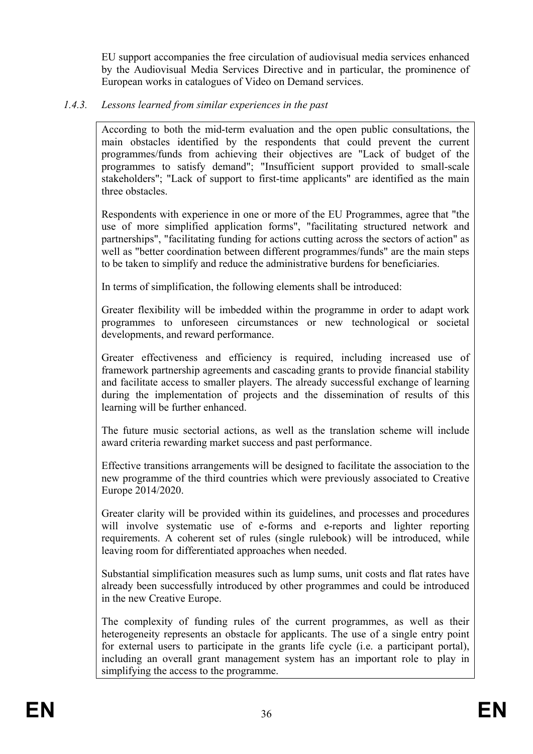EU support accompanies the free circulation of audiovisual media services enhanced by the Audiovisual Media Services Directive and in particular, the prominence of European works in catalogues of Video on Demand services.

# *1.4.3. Lessons learned from similar experiences in the past*

According to both the mid-term evaluation and the open public consultations, the main obstacles identified by the respondents that could prevent the current programmes/funds from achieving their objectives are "Lack of budget of the programmes to satisfy demand"; "Insufficient support provided to small-scale stakeholders"; "Lack of support to first-time applicants" are identified as the main three obstacles.

Respondents with experience in one or more of the EU Programmes, agree that "the use of more simplified application forms", "facilitating structured network and partnerships", "facilitating funding for actions cutting across the sectors of action" as well as "better coordination between different programmes/funds" are the main steps to be taken to simplify and reduce the administrative burdens for beneficiaries.

In terms of simplification, the following elements shall be introduced:

Greater flexibility will be imbedded within the programme in order to adapt work programmes to unforeseen circumstances or new technological or societal developments, and reward performance.

Greater effectiveness and efficiency is required, including increased use of framework partnership agreements and cascading grants to provide financial stability and facilitate access to smaller players. The already successful exchange of learning during the implementation of projects and the dissemination of results of this learning will be further enhanced.

The future music sectorial actions, as well as the translation scheme will include award criteria rewarding market success and past performance.

Effective transitions arrangements will be designed to facilitate the association to the new programme of the third countries which were previously associated to Creative Europe 2014/2020.

Greater clarity will be provided within its guidelines, and processes and procedures will involve systematic use of e-forms and e-reports and lighter reporting requirements. A coherent set of rules (single rulebook) will be introduced, while leaving room for differentiated approaches when needed.

Substantial simplification measures such as lump sums, unit costs and flat rates have already been successfully introduced by other programmes and could be introduced in the new Creative Europe.

The complexity of funding rules of the current programmes, as well as their heterogeneity represents an obstacle for applicants. The use of a single entry point for external users to participate in the grants life cycle (i.e. a participant portal), including an overall grant management system has an important role to play in simplifying the access to the programme.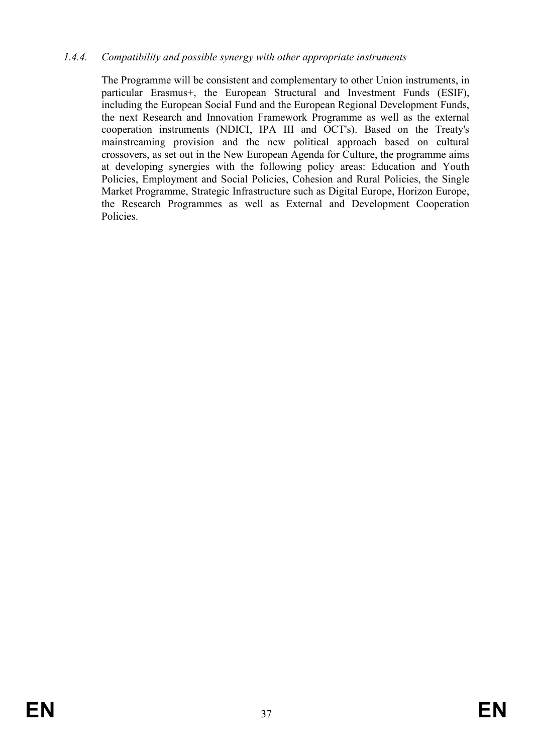## *1.4.4. Compatibility and possible synergy with other appropriate instruments*

The Programme will be consistent and complementary to other Union instruments, in particular Erasmus+, the European Structural and Investment Funds (ESIF), including the European Social Fund and the European Regional Development Funds, the next Research and Innovation Framework Programme as well as the external cooperation instruments (NDICI, IPA III and OCT's). Based on the Treaty's mainstreaming provision and the new political approach based on cultural crossovers, as set out in the New European Agenda for Culture, the programme aims at developing synergies with the following policy areas: Education and Youth Policies, Employment and Social Policies, Cohesion and Rural Policies, the Single Market Programme, Strategic Infrastructure such as Digital Europe, Horizon Europe, the Research Programmes as well as External and Development Cooperation Policies.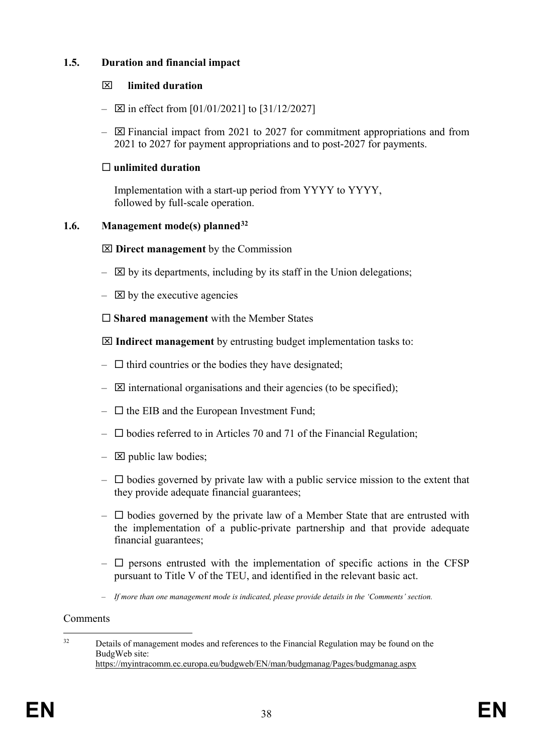# **1.5. Duration and financial impact**

# **limited duration**

- $\boxtimes$  in effect from [01/01/2021] to [31/12/2027]
- $\boxtimes$  Financial impact from 2021 to 2027 for commitment appropriations and from 2021 to 2027 for payment appropriations and to post-2027 for payments.

# **unlimited duration**

Implementation with a start-up period from YYYY to YYYY, followed by full-scale operation.

# **1.6. Management mode(s) planned[32](#page-39-0)**

**Direct management** by the Commission

- $-\nabla$  by its departments, including by its staff in the Union delegations;
- $\boxtimes$  by the executive agencies

**Shared management** with the Member States

**Indirect management** by entrusting budget implementation tasks to:

- $\Box$  third countries or the bodies they have designated;
- $\boxtimes$  international organisations and their agencies (to be specified);
- $\Box$  the EIB and the European Investment Fund;
- $\square$  bodies referred to in Articles 70 and 71 of the Financial Regulation;
- $\boxtimes$  public law bodies;
- $-\Box$  bodies governed by private law with a public service mission to the extent that they provide adequate financial guarantees;
- $\Box$  bodies governed by the private law of a Member State that are entrusted with the implementation of a public-private partnership and that provide adequate financial guarantees;
- $\Box$  persons entrusted with the implementation of specific actions in the CFSP pursuant to Title V of the TEU, and identified in the relevant basic act.
- *If more than one management mode is indicated, please provide details in the 'Comments' section.*

# **Comments**

<span id="page-39-0"></span><sup>32</sup> Details of management modes and references to the Financial Regulation may be found on the BudgWeb site: <https://myintracomm.ec.europa.eu/budgweb/EN/man/budgmanag/Pages/budgmanag.aspx>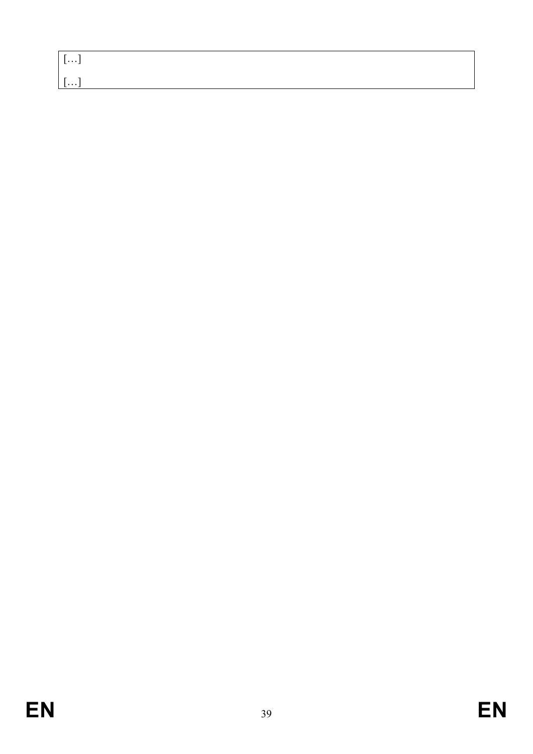| $\vert$ []               |  |  |  |
|--------------------------|--|--|--|
| $\lfloor \ldots \rfloor$ |  |  |  |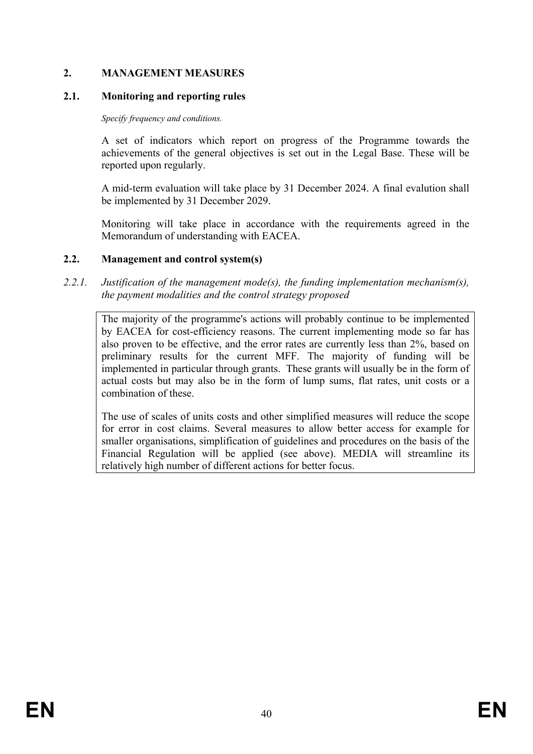# **2. MANAGEMENT MEASURES**

## **2.1. Monitoring and reporting rules**

*Specify frequency and conditions.*

A set of indicators which report on progress of the Programme towards the achievements of the general objectives is set out in the Legal Base. These will be reported upon regularly.

A mid-term evaluation will take place by 31 December 2024. A final evalution shall be implemented by 31 December 2029.

Monitoring will take place in accordance with the requirements agreed in the Memorandum of understanding with EACEA.

## **2.2. Management and control system(s)**

*2.2.1. Justification of the management mode(s), the funding implementation mechanism(s), the payment modalities and the control strategy proposed*

The majority of the programme's actions will probably continue to be implemented by EACEA for cost-efficiency reasons. The current implementing mode so far has also proven to be effective, and the error rates are currently less than 2%, based on preliminary results for the current MFF. The majority of funding will be implemented in particular through grants. These grants will usually be in the form of actual costs but may also be in the form of lump sums, flat rates, unit costs or a combination of these.

The use of scales of units costs and other simplified measures will reduce the scope for error in cost claims. Several measures to allow better access for example for smaller organisations, simplification of guidelines and procedures on the basis of the Financial Regulation will be applied (see above). MEDIA will streamline its relatively high number of different actions for better focus.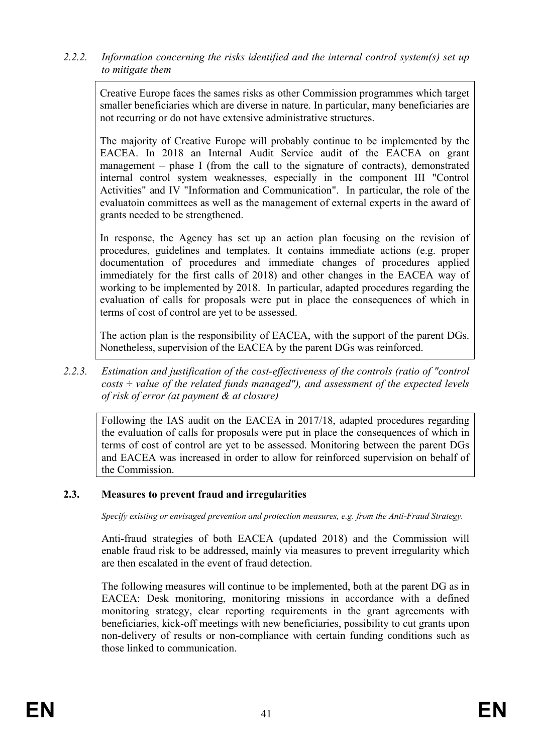*2.2.2. Information concerning the risks identified and the internal control system(s) set up to mitigate them*

Creative Europe faces the sames risks as other Commission programmes which target smaller beneficiaries which are diverse in nature. In particular, many beneficiaries are not recurring or do not have extensive administrative structures.

The majority of Creative Europe will probably continue to be implemented by the EACEA. In 2018 an Internal Audit Service audit of the EACEA on grant management – phase I (from the call to the signature of contracts), demonstrated internal control system weaknesses, especially in the component III "Control Activities" and IV "Information and Communication". In particular, the role of the evaluatoin committees as well as the management of external experts in the award of grants needed to be strengthened.

In response, the Agency has set up an action plan focusing on the revision of procedures, guidelines and templates. It contains immediate actions (e.g. proper documentation of procedures and immediate changes of procedures applied immediately for the first calls of 2018) and other changes in the EACEA way of working to be implemented by 2018. In particular, adapted procedures regarding the evaluation of calls for proposals were put in place the consequences of which in terms of cost of control are yet to be assessed.

The action plan is the responsibility of EACEA, with the support of the parent DGs. Nonetheless, supervision of the EACEA by the parent DGs was reinforced.

*2.2.3. Estimation and justification of the cost-effectiveness of the controls (ratio of "control costs ÷ value of the related funds managed"), and assessment of the expected levels of risk of error (at payment & at closure)* 

Following the IAS audit on the EACEA in 2017/18, adapted procedures regarding the evaluation of calls for proposals were put in place the consequences of which in terms of cost of control are yet to be assessed. Monitoring between the parent DGs and EACEA was increased in order to allow for reinforced supervision on behalf of the Commission.

# **2.3. Measures to prevent fraud and irregularities**

*Specify existing or envisaged prevention and protection measures, e.g. from the Anti-Fraud Strategy.*

Anti-fraud strategies of both EACEA (updated 2018) and the Commission will enable fraud risk to be addressed, mainly via measures to prevent irregularity which are then escalated in the event of fraud detection.

The following measures will continue to be implemented, both at the parent DG as in EACEA: Desk monitoring, monitoring missions in accordance with a defined monitoring strategy, clear reporting requirements in the grant agreements with beneficiaries, kick-off meetings with new beneficiaries, possibility to cut grants upon non-delivery of results or non-compliance with certain funding conditions such as those linked to communication.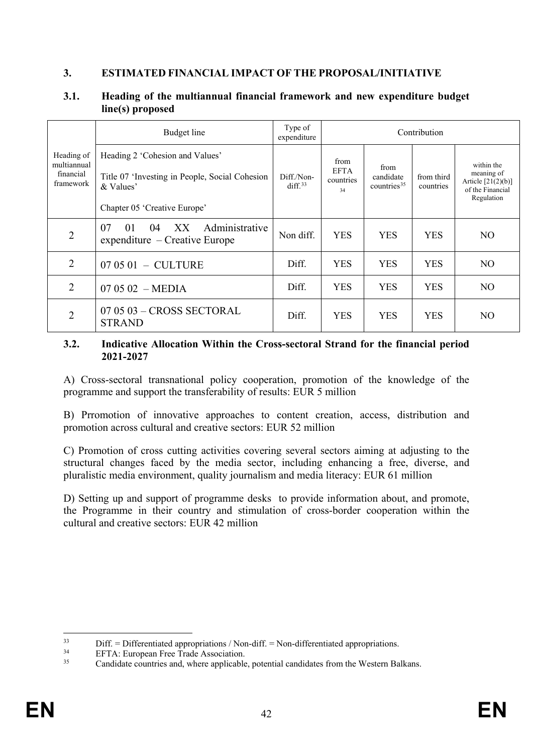# **3. ESTIMATED FINANCIAL IMPACT OF THE PROPOSAL/INITIATIVE**

#### **3.1. Heading of the multiannual financial framework and new expenditure budget line(s) proposed**

|                                                     | Budget line                                                                                                                    | Type of<br>expenditure           | Contribution                           |                                     |                         |                                                                                    |  |  |
|-----------------------------------------------------|--------------------------------------------------------------------------------------------------------------------------------|----------------------------------|----------------------------------------|-------------------------------------|-------------------------|------------------------------------------------------------------------------------|--|--|
| Heading of<br>multiannual<br>financial<br>framework | Heading 2 'Cohesion and Values'<br>Title 07 'Investing in People, Social Cohesion<br>& Values'<br>Chapter 05 'Creative Europe' | Diff./Non-<br>diff <sup>33</sup> | from<br><b>EFTA</b><br>countries<br>34 | from<br>candidate<br>countries $35$ | from third<br>countries | within the<br>meaning of<br>Article $[21(2)(b)]$<br>of the Financial<br>Regulation |  |  |
| $\overline{2}$                                      | 07<br>Administrative<br>XX<br>01<br>04<br>$expenditure - Creative Europe$                                                      | Non diff.                        | <b>YES</b>                             | <b>YES</b>                          | <b>YES</b>              | NO.                                                                                |  |  |
| 2                                                   | $070501 - \text{CULTURE}$                                                                                                      | Diff.                            | <b>YES</b>                             | <b>YES</b>                          | <b>YES</b>              | NO.                                                                                |  |  |
| 2                                                   | $070502 - \text{MEDIA}$                                                                                                        | Diff.                            | <b>YES</b>                             | <b>YES</b>                          | <b>YES</b>              | N <sub>O</sub>                                                                     |  |  |
| 2                                                   | $070503 -$ CROSS SECTORAL<br><b>STRAND</b>                                                                                     | Diff.                            | <b>YES</b>                             | <b>YES</b>                          | <b>YES</b>              | NO                                                                                 |  |  |

#### **3.2. Indicative Allocation Within the Cross-sectoral Strand for the financial period 2021-2027**

A) Cross-sectoral transnational policy cooperation, promotion of the knowledge of the programme and support the transferability of results: EUR 5 million

B) Prromotion of innovative approaches to content creation, access, distribution and promotion across cultural and creative sectors: EUR 52 million

C) Promotion of cross cutting activities covering several sectors aiming at adjusting to the structural changes faced by the media sector, including enhancing a free, diverse, and pluralistic media environment, quality journalism and media literacy: EUR 61 million

D) Setting up and support of programme desks to provide information about, and promote, the Programme in their country and stimulation of cross-border cooperation within the cultural and creative sectors: EUR 42 million

<span id="page-43-0"></span> $33$  Diff. = Differentiated appropriations / Non-diff. = Non-differentiated appropriations.

<span id="page-43-2"></span><span id="page-43-1"></span><sup>&</sup>lt;sup>34</sup> EFTA: European Free Trade Association.<br><sup>35</sup> Candidate countries and, where applicable, potential candidates from the Western Balkans.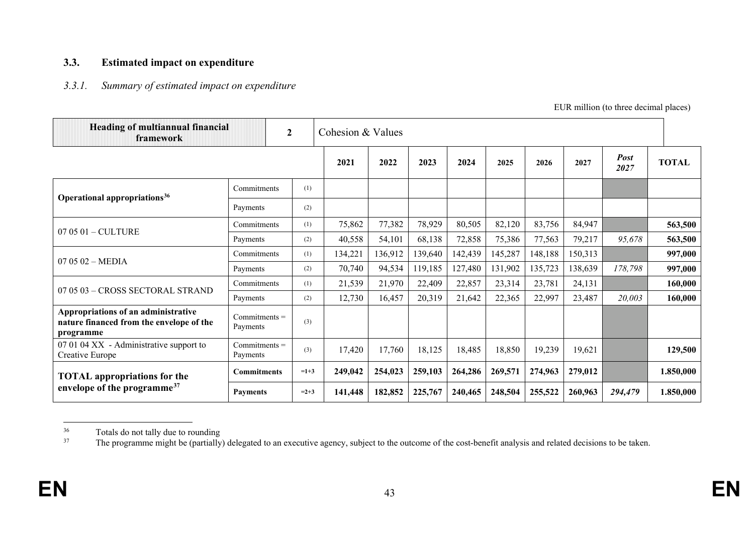## **3.3. Estimated impact on expenditure**

## *3.3.1. Summary of estimated impact on expenditure*

| Heading of multiannual financial<br>framework                                                |                             | $\boldsymbol{2}$ | Cohesion & Values |         |         |         |         |         |         |              |              |
|----------------------------------------------------------------------------------------------|-----------------------------|------------------|-------------------|---------|---------|---------|---------|---------|---------|--------------|--------------|
|                                                                                              |                             |                  | 2021              | 2022    | 2023    | 2024    | 2025    | 2026    | 2027    | Post<br>2027 | <b>TOTAL</b> |
| Operational appropriations <sup>36</sup>                                                     | Commitments                 | (1)              |                   |         |         |         |         |         |         |              |              |
|                                                                                              | Payments                    | (2)              |                   |         |         |         |         |         |         |              |              |
| 07 05 01 - CULTURE                                                                           | Commitments                 | (1)              | 75,862            | 77,382  | 78,929  | 80,505  | 82,120  | 83,756  | 84,947  |              | 563,500      |
|                                                                                              | Payments                    | (2)              | 40,558            | 54,101  | 68,138  | 72,858  | 75,386  | 77,563  | 79,217  | 95,678       | 563,500      |
| $070502 - \text{MEDIA}$                                                                      | Commitments                 | (1)              | 134,221           | 136,912 | 139,640 | 142,439 | 145,287 | 148,188 | 150,313 |              | 997,000      |
|                                                                                              | Payments                    | (2)              | 70,740            | 94,534  | 119,185 | 127,480 | 131,902 | 135,723 | 138,639 | 178,798      | 997,000      |
| 07 05 03 - CROSS SECTORAL STRAND                                                             | Commitments                 | (1)              | 21,539            | 21,970  | 22,409  | 22,857  | 23,314  | 23,781  | 24,131  |              | 160,000      |
|                                                                                              | Payments                    | (2)              | 12,730            | 16,457  | 20,319  | 21,642  | 22,365  | 22,997  | 23,487  | 20,003       | 160,000      |
| Appropriations of an administrative<br>nature financed from the envelope of the<br>programme | $Commitments =$<br>Payments | (3)              |                   |         |         |         |         |         |         |              |              |
| 07 01 04 XX - Administrative support to<br>Creative Europe                                   | $Commitments =$<br>Payments | (3)              | 17,420            | 17,760  | 18,125  | 18,485  | 18,850  | 19,239  | 19,621  |              | 129,500      |
| <b>TOTAL</b> appropriations for the                                                          | <b>Commitments</b>          | $=1+3$           | 249,042           | 254,023 | 259,103 | 264,286 | 269,571 | 274,963 | 279,012 |              | 1.850,000    |
| envelope of the programme <sup>37</sup>                                                      | <b>Payments</b>             | $=2+3$           | 141,448           | 182,852 | 225,767 | 240,465 | 248,504 | 255,522 | 260,963 | 294,479      | 1.850,000    |

<span id="page-44-1"></span><span id="page-44-0"></span>EUR million (to three decimal places)

<sup>37</sup> The programme might be (partially) delegated to an executive agency, subject to the outcome of the cost-benefit analysis and related decisions to be taken.

 <sup>36</sup> Totals do not tally due to rounding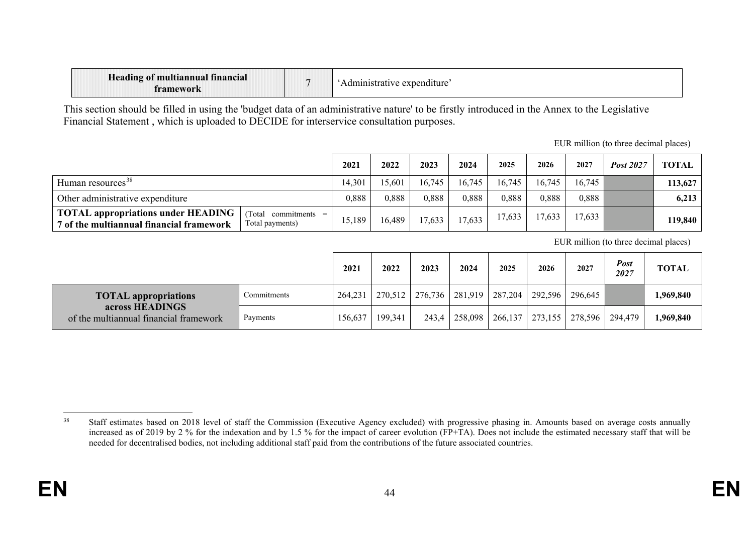| Heading of multiannual financial<br>tramework |  | ministrative expenditure.<br>Adm |
|-----------------------------------------------|--|----------------------------------|
|-----------------------------------------------|--|----------------------------------|

This section should be filled in using the 'budget data of an administrative nature' to be firstly introduced in the Annex to the Legislative Financial Statement , which is uploaded to DECIDE for interservice consultation purposes.

<span id="page-45-0"></span>EUR million (to three decimal places)

|                                                                                       |                                           | 2021   | 2022   | 2023   | 2024   | 2025   | 2026   | 2027   | <b>Post 2027</b> | <b>TOTAL</b> |
|---------------------------------------------------------------------------------------|-------------------------------------------|--------|--------|--------|--------|--------|--------|--------|------------------|--------------|
| Human resources <sup>38</sup>                                                         |                                           |        | 15.601 | 16,745 | 16,745 | 16,745 | 16.745 | 16.745 |                  | 113,627      |
| Other administrative expenditure                                                      |                                           |        | 0.888  | 0.888  | 0,888  | 0,888  | 0.888  | 0.888  |                  | 6,213        |
| <b>TOTAL appropriations under HEADING</b><br>7 of the multiannual financial framework | $(Total$ commitments =<br>Total payments) | 15,189 | 16,489 | 17,633 | 17,633 | 17,633 | 17,633 | 7,633  |                  | 119,840      |

EUR million (to three decimal places)

|                                                           |             | 2021    | 2022    | 2023                                                    | 2024          | 2025    | 2026    | 2027                        | <b>Post</b><br>2027 | <b>TOTAL</b> |
|-----------------------------------------------------------|-------------|---------|---------|---------------------------------------------------------|---------------|---------|---------|-----------------------------|---------------------|--------------|
| <b>TOTAL</b> appropriations                               | Commitments | 264,231 |         | $\vert$ 270,512 $\vert$ 276,736 $\vert$ 281,919 $\vert$ |               | 287,204 | 292,596 | 296.645                     |                     | ,969,840     |
| across HEADINGS<br>of the multiannual financial framework | Payments    | 156,637 | 199.341 |                                                         | 243,4 258,098 |         |         | 266,137   273,155   278,596 | 294.479             | ,969,840     |

<sup>&</sup>lt;sup>38</sup> Staff estimates based on 2018 level of staff the Commission (Executive Agency excluded) with progressive phasing in. Amounts based on average costs annually increased as of 2019 by 2 % for the indexation and by 1.5 % for the impact of career evolution (FP+TA). Does not include the estimated necessary staff that will be needed for decentralised bodies, not including additional staff paid from the contributions of the future associated countries.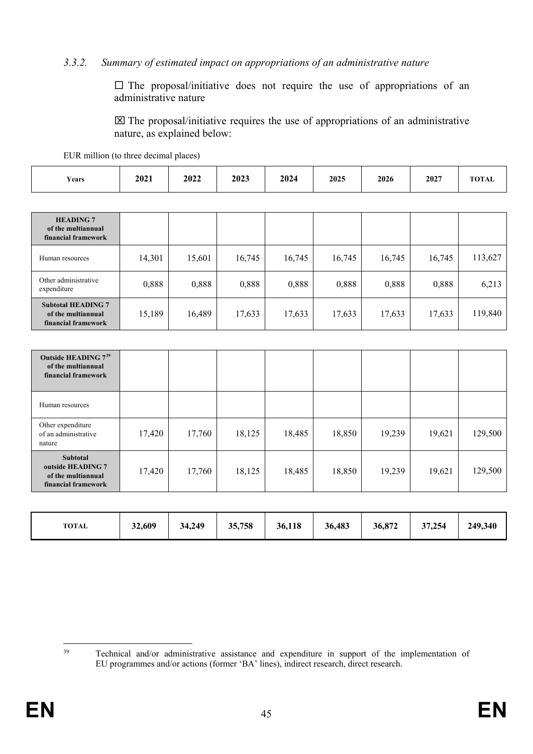## *3.3.2. Summary of estimated impact on appropriations of an administrative nature*

 $\Box$  The proposal/initiative does not require the use of appropriations of an administrative nature

 $\boxtimes$  The proposal/initiative requires the use of appropriations of an administrative nature, as explained below:

EUR million (to three decimal places)

| Years | 2021 | 2022 | 2023 | 2024 | 2025 | 2026 | 2027 | <b>TOTAL</b> |
|-------|------|------|------|------|------|------|------|--------------|
|-------|------|------|------|------|------|------|------|--------------|

| <b>HEADING 7</b><br>of the multiannual<br>financial framework          |        |        |        |        |        |        |        |         |
|------------------------------------------------------------------------|--------|--------|--------|--------|--------|--------|--------|---------|
| Human resources                                                        | 14,301 | 15,601 | 16,745 | 16,745 | 16,745 | 16,745 | 16,745 | 113,627 |
| Other administrative<br>expenditure                                    | 0,888  | 0,888  | 0,888  | 0,888  | 0,888  | 0,888  | 0,888  | 6,213   |
| <b>Subtotal HEADING 7</b><br>of the multiannual<br>financial framework | 15,189 | 16,489 | 17,633 | 17,633 | 17,633 | 17,633 | 17,633 | 119,840 |

| <b>Outside HEADING 739</b><br>of the multiannual<br>financial framework           |        |        |        |        |        |        |        |         |
|-----------------------------------------------------------------------------------|--------|--------|--------|--------|--------|--------|--------|---------|
| Human resources                                                                   |        |        |        |        |        |        |        |         |
| Other expenditure<br>of an administrative<br>nature                               | 17,420 | 17,760 | 18,125 | 18,485 | 18,850 | 19,239 | 19,621 | 129,500 |
| <b>Subtotal</b><br>outside HEADING 7<br>of the multiannual<br>financial framework | 17,420 | 17,760 | 18,125 | 18,485 | 18,850 | 19,239 | 19,621 | 129,500 |

| <b>TOTAL</b> | 32,609 | 34,249 | 35,758 | 36,118 | 36,483 | 36,872 | 37,254 | 249,340 |
|--------------|--------|--------|--------|--------|--------|--------|--------|---------|
|--------------|--------|--------|--------|--------|--------|--------|--------|---------|

<span id="page-46-0"></span> <sup>39</sup> Technical and/or administrative assistance and expenditure in support of the implementation of EU programmes and/or actions (former 'BA' lines), indirect research, direct research.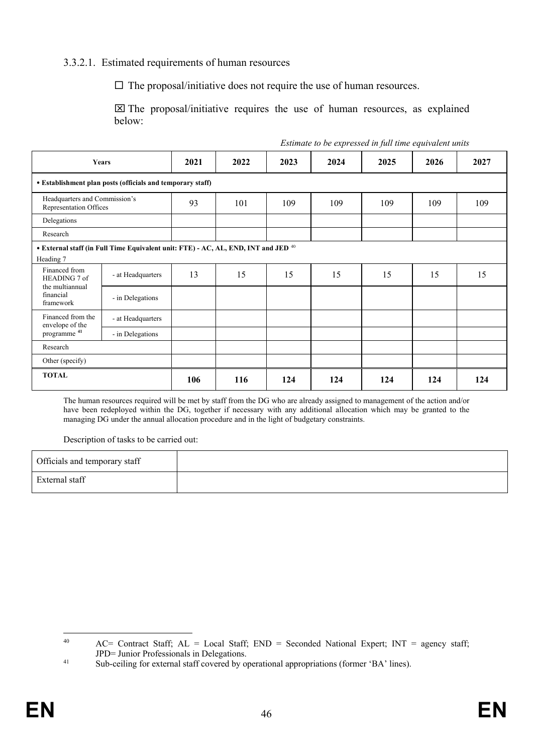## 3.3.2.1. Estimated requirements of human resources

 $\Box$  The proposal/initiative does not require the use of human resources.

 $\Sigma$  The proposal/initiative requires the use of human resources, as explained below:

|                                                                                           |                                                                                               |      |      |      | Louinaire to be explosive in fair anno equivalent anno |      |      |      |
|-------------------------------------------------------------------------------------------|-----------------------------------------------------------------------------------------------|------|------|------|--------------------------------------------------------|------|------|------|
|                                                                                           | Years                                                                                         | 2021 | 2022 | 2023 | 2024                                                   | 2025 | 2026 | 2027 |
|                                                                                           | • Establishment plan posts (officials and temporary staff)                                    |      |      |      |                                                        |      |      |      |
| Headquarters and Commission's<br>93<br>101<br>109<br>109<br>109<br>Representation Offices |                                                                                               |      |      |      | 109                                                    | 109  |      |      |
| Delegations                                                                               |                                                                                               |      |      |      |                                                        |      |      |      |
| Research                                                                                  |                                                                                               |      |      |      |                                                        |      |      |      |
| Heading 7                                                                                 | • External staff (in Full Time Equivalent unit: FTE) - AC, AL, END, INT and JED <sup>40</sup> |      |      |      |                                                        |      |      |      |
| Financed from<br>HEADING 7 of                                                             | - at Headquarters                                                                             | 13   | 15   | 15   | 15                                                     | 15   | 15   | 15   |
| the multiannual<br>financial<br>framework                                                 | - in Delegations                                                                              |      |      |      |                                                        |      |      |      |
| Financed from the<br>envelope of the                                                      | - at Headquarters                                                                             |      |      |      |                                                        |      |      |      |
| programme <sup>41</sup>                                                                   | - in Delegations                                                                              |      |      |      |                                                        |      |      |      |
| Research                                                                                  |                                                                                               |      |      |      |                                                        |      |      |      |
| Other (specify)                                                                           |                                                                                               |      |      |      |                                                        |      |      |      |
| <b>TOTAL</b>                                                                              |                                                                                               | 106  | 116  | 124  | 124                                                    | 124  | 124  | 124  |

*Estimate to be expressed in full time equivalent units*

The human resources required will be met by staff from the DG who are already assigned to management of the action and/or have been redeployed within the DG, together if necessary with any additional allocation which may be granted to the managing DG under the annual allocation procedure and in the light of budgetary constraints.

Description of tasks to be carried out:

| Officials and temporary staff |  |
|-------------------------------|--|
| External staff                |  |

<span id="page-47-0"></span><sup>&</sup>lt;sup>40</sup> AC= Contract Staff; AL = Local Staff; END = Seconded National Expert; INT = agency staff; JPD= Junior Professionals in Delegations.

<span id="page-47-1"></span><sup>&</sup>lt;sup>41</sup> Sub-ceiling for external staff covered by operational appropriations (former 'BA' lines).